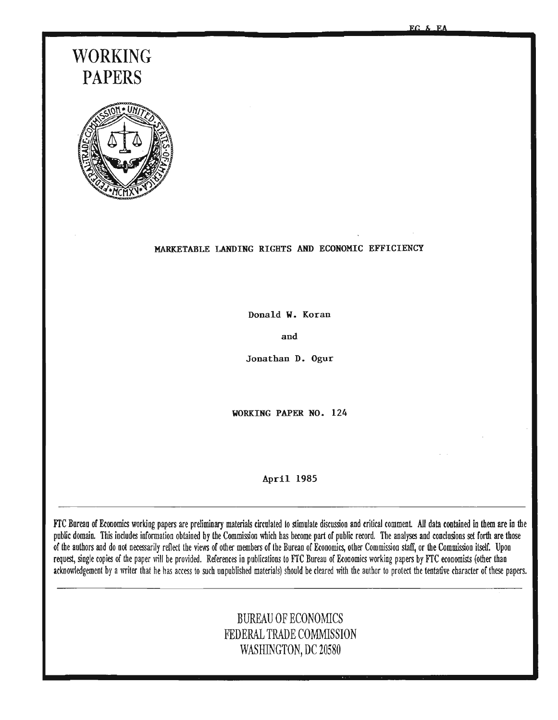RC £. **RA** 

# WORKING PAPERS



## MARKETABLE LANDING RIGHTS AND ECONOMIC EFFICIENCY

Donald W. Koran

and

Jonathan D. Ogur

WORKING PAPER NO. 124

April 1985

FTC Bureau of Economics working papers are preliminary materials circulated to stimulate discussion and critical comment. All data contained in them are in the public domain. This includes information obtained by the Commission which has become part of public record. The analyses and conclusions set forth are those of the authors and do not necessarily reflect the views of other members of the Bureau of Economics, other Commission staff, or the Commission itself. Upon request, single copies of the paper will be provided. References in publications to FTC Bureau of Economics working papers by FTC economists (other than acknowledgement by a writer that he has access to such unpublished materials) should be cleared with the author to protect the tentative character of these papers.

## BUREAU OF ECONOMICS FEDERAL TRADE COMMISSION WASHINGTON, DC 20580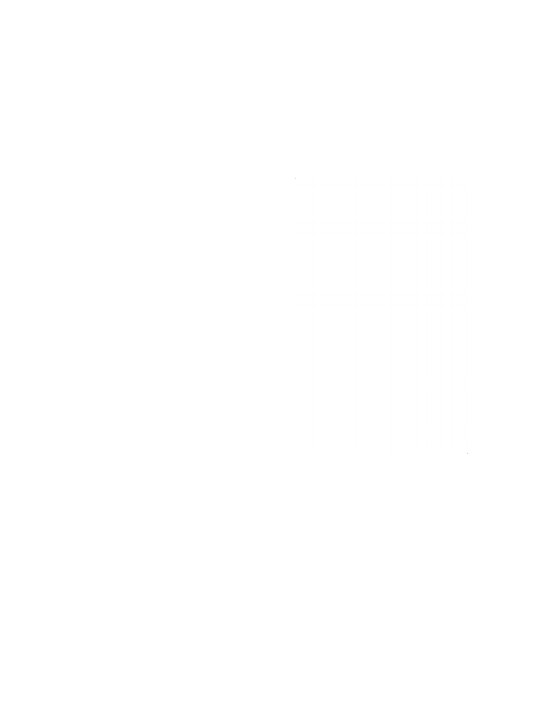$\label{eq:2.1} \frac{1}{\sqrt{2}}\left(\frac{1}{\sqrt{2}}\right)^{2} \left(\frac{1}{\sqrt{2}}\right)^{2} \left(\frac{1}{\sqrt{2}}\right)^{2} \left(\frac{1}{\sqrt{2}}\right)^{2} \left(\frac{1}{\sqrt{2}}\right)^{2} \left(\frac{1}{\sqrt{2}}\right)^{2} \left(\frac{1}{\sqrt{2}}\right)^{2} \left(\frac{1}{\sqrt{2}}\right)^{2} \left(\frac{1}{\sqrt{2}}\right)^{2} \left(\frac{1}{\sqrt{2}}\right)^{2} \left(\frac{1}{\sqrt{2}}\right)^{2} \left(\$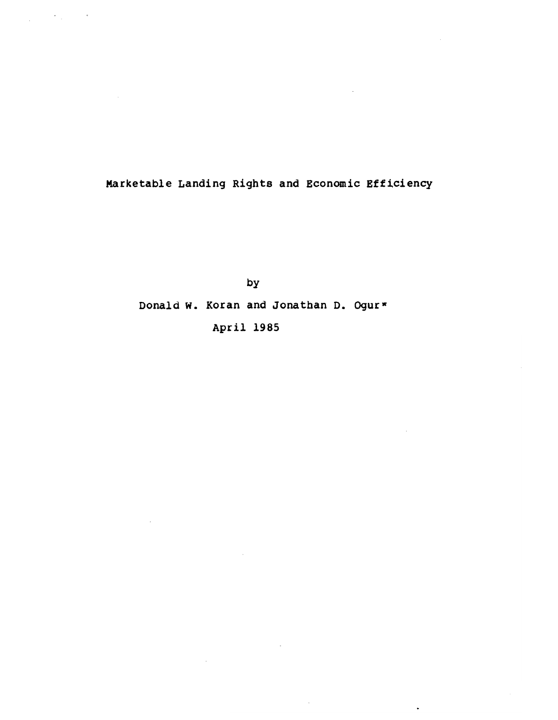Marketable Landing Rights and Economic Efficiency

by

Donald W. Koran and Jonathan D. Ogur\*

April 1985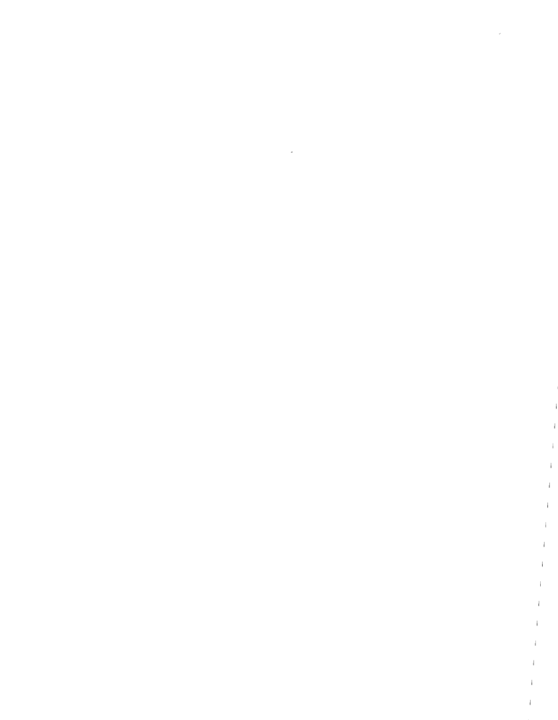$\frac{1}{\sqrt{2}}$  $\mathcal{L}(\mathcal{L})$  $\mathbf{I}$  $\mathbf{I}$  $\bar{1}$  $\bar{1}$  $\bar{1}$  $\bar{1}$  $\Gamma$  $\bar{\Gamma}$ 

 $\mathbf{L}$  $\mathbf{1}$  $\bar{\Gamma}$ 

 $\bar{1}$ 

 $\mathbf{1}$ 

 $\overline{1}$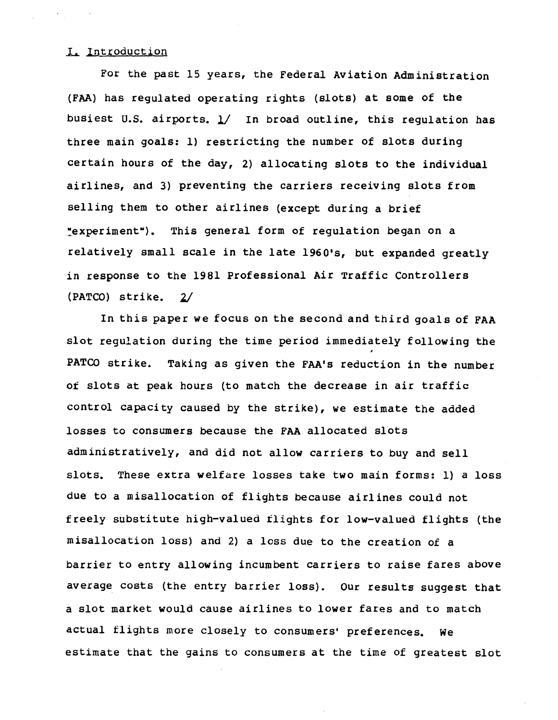### I. Introduction

For the past 15 years, the Federal Aviation Administration (FAA) has regulated operating rights (slots) at some of the busiest U.S. airports.  $1/$  In broad outline, this regulation has three main goals: 1) restricting the number of slots during certain hours of the day, 2) allocating slots to the individual airlines, and 3) preventing the carriers receiving slots from selling them to other airlines (except during a brief "experiment"). This general form of regulation began on a relatively small scale in the late 1960's, but expanded greatly in response to the 1981 Professional Air Traffic Controllers  $(PATCO)$  strike. 2/

In this paper we focus on the second and third goals of FAA slot regulation during the time period immediately following the PATCO strike. Taking as given the FAA's reduction in the number of slots at peak hours (to match the decrease in air traffic control capacity caused by the strike), we estimate the added losses to consumers because the FAA allocated slots administratively, and did not allow carriers to buy and sell slots. These extra welfare losses take two main forms: 1) a loss due to a misallocation of flights because airlines could not freely substitute high-valued flights for low-valued flights (the misallocation loss) and 2) a loss due to the creation of a barrier to entry allowing incumbent carriers to raise fares above average costs (the entry barrier loss). Our results suggest that a slot market would cause airlines to lower fares and to match actual flights more closely to consumers' preferences. We estimate that the gains to consumers at the time of greatest slot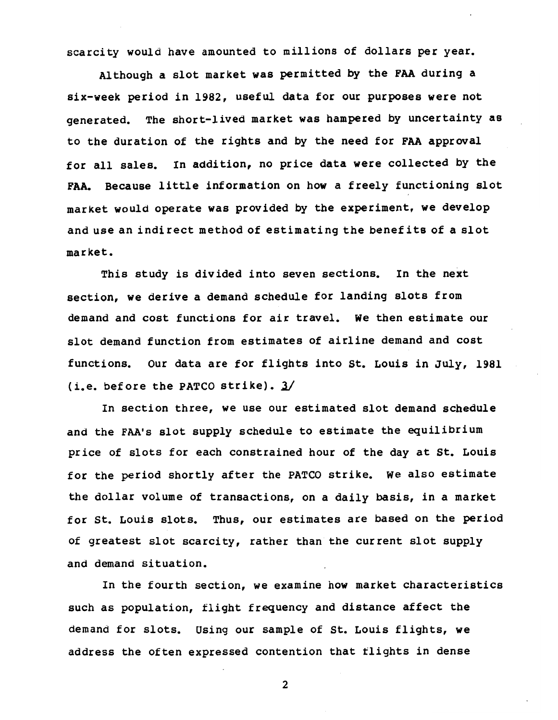scarcity would have amounted to millions of dollars per year.

Although a slot market was permitted by the FAA during a six-week period in 1982, useful data for our purposes were not generated. The short-lived market was hampered by uncertainty as to the duration of the rights and by the need for FAA approval for all sales. In addition, no price data were collected by the FAA. Because little information on how a freely functioning slot market would operate was provided by the experiment, we develop and use an indi rect method of estimating the benef its of a slot market.

This study is divided into seven sections. In the next section, we derive a demand schedule for landing slots from demand and cost functions for air travel. we then estimate our slot demand function from estimates of airline demand and cost functions. Our data are for flights into st. Louis in July, 1981 (i.e. before the PATCO strike). 3/

In section three, we use our estimated slot demand schedule and the FAA's slot supply schedule to estimate the equilibrium price of slots for each constrained hour of the day at st. Louis for the period shortly after the PATCO strike. We also estimate the dollar volume of transactions, on a daily basis, in a market for St. Louis slots. Thus, our estimates are based on the period of greatest slot scarcity, rather than the current slot supply and demand situation.

In the fourth section, we examine how market characteristics such as population, flight frequency and distance affect the demand for slots. Using our sample of st. Louis flights, we address the often expressed contention that flights in dense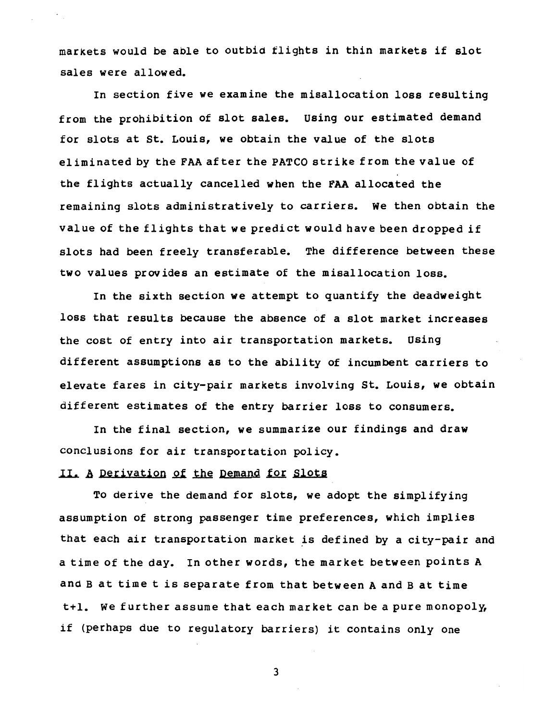markets would be able to outbid flights in thin markets if slot sales were allowed.

In section five we examine the misallocation loss resulting from the prohibition of slot sales. Using our estimated demand for slots at st. Louis, we obtain the value of the slots eliminated by the FAA after the PATCO strike from the value of the flights actually cancelled when the FAA allocated the remaining slots administratively to carriers. We then obtain the value of the flights that we predict would have been dropped if slots had been freely transferable. The difference between these two values provides an estimate of the misallocation loss.

In the sixth section we attempt to quantify the deadweight loss that results because the absence of a slot market increases the cost of entry into air transportation markets. Using different assumptions as to the ability of incumbent carriers to elevate fares in city-pair markets involving st. Louis, we obtain different estimates of the entry barrier loss to consumers.

In the final section, we summarize our findings and draw conclusions for air transportation policy.

## II. A Derivation of the Demand for Slots

To derive the demand for slots, we adopt the simplifying assumption of strong passenger time preferences, which implies that each air transportation market is defined by a city-pair and a time of the day. In other words, the market between points A and B at time t is separate from that between A and B at time t+l. We further assume that each market can be a pure monopoly, if (perhaps due to regulatory barriers) it contains only one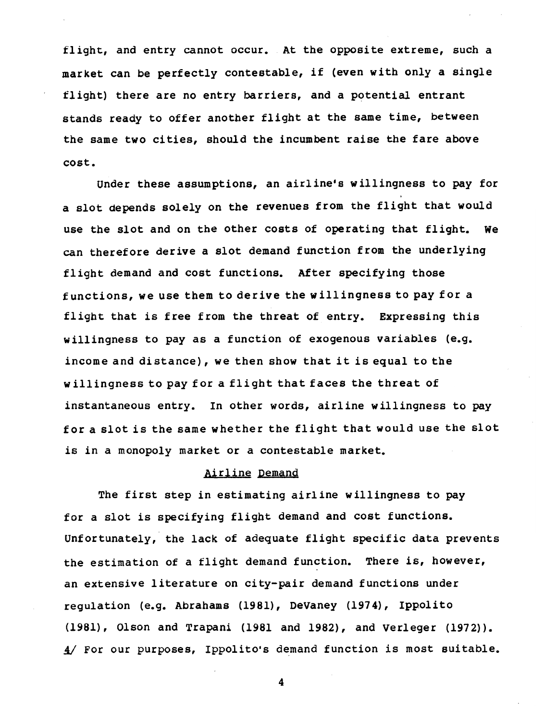flight, and entry cannot occur. At the opposite extreme, such a market can be perfectly contestable, if (even with only a single flight) there are no entry barriers, and a potential entrant stands ready to offer another flight at the same time, between the same two cities, should the incumbent raise the fare above cost.

Under these assumptions, an airline's willingness to pay for a slot depends solely on the revenues from the flight that would use the slot and on the other costs of operating that flight. We can therefore derive a slot demand function from the underlying flight demand and cost functions. After specifying those functions, we use them to derive the willingness to pay for a flight that is free from the threat of entry. Expressing this willingness to pay as a function of exogenous variables (e.g. income and distance), we then show that it is equal to the willingness to pay for a flight that faces the threat of instantaneous entry. In other words, airline willingness to pay for a slot is the same whether the flight that would use the slot is in a monopoly market or a contestable market.

## Airline Demand

The first step in estimating airline willingness to pay for a slot is specifying flight demand and cost functions. Unfortunately, the lack of adequate flight specific data prevents the estimation of a flight demand function. There is, however, an extensive literature on city-pair demand functions under regulation (e.g. Abrahams *(1981),* DeVaney *(1974),* Ippolito (1981), Olson and Trapani (1981 and 1982), and verleger (1972».  $4/$  For our purposes, Ippolito's demand function is most suitable.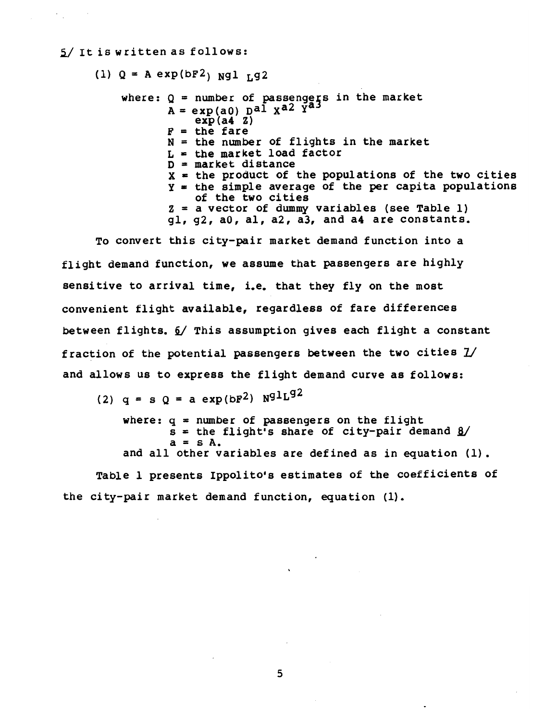#### 5/ It is written as follows:

(1)  $Q = A exp(bF<sup>2</sup>)$   $Ngl$   $Lq<sup>2</sup>$ where:  $Q =$  number of passengers in the market  $A = exp(a0)$   $pab = x^2$   $y^3$  $exp(a4 2)$  $F = the fare$  $N =$  the number of flights in the market  $L =$  the market load factor  $D =$  market distance  $X =$  the product of the populations of the two cities y • the simple average of the per capita populations of the two cities  $Z = a$  vector of dummy variables (see Table 1) gl, g2, aO, aI, a2, a3, and a4 are constants.

To convert this city-pair market demand function into a flight demand function, we assume that passengers are highly sensitive to arrival time, i.e. that they fly on the most convenient flight available, regardless of fare differences between flights. 6/ This assumption gives each flight a constant fraction of the potential passengers between the two cities  $1/$ and allows us to express the flight demand curve as follows:

(2)  $q = s \tQ = a \exp(bF^2) N^{g1}L^{g2}$ 

where:  $q =$  number of passengers on the flight  $s =$  the flight's share of city-pair demand  $g/$  $a = s A$ . and all other variables are defined as in equation (1).

Table 1 presents Ippolito's estimates of the coefficients of the city-pair market demand function, equation (1).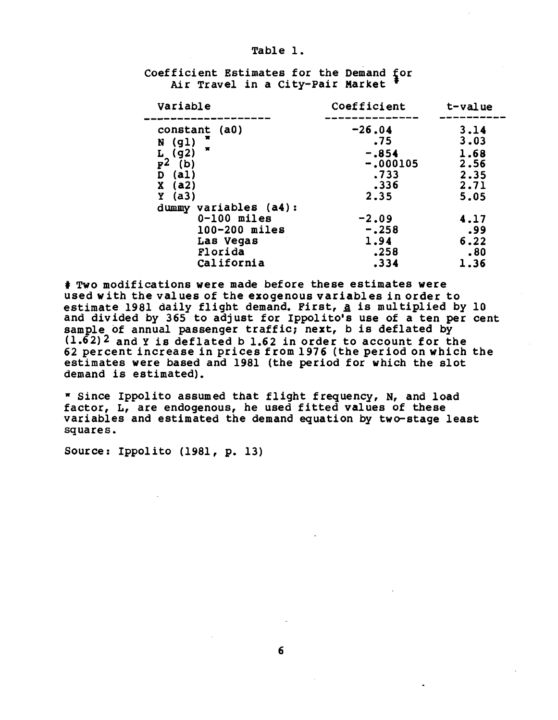#### Table 1.

Coefficient Estimates for the Demand for Air Travel in a City-pair Market

| Variable                    | Coefficient | $t$ -value |
|-----------------------------|-------------|------------|
| constant (a0)               | $-26.04$    | 3.14       |
| ×<br>(g1)<br>N              | .75         | 3.03       |
| $\blacksquare$<br>(g2)<br>L | $-0.854$    | 1.68       |
| F <sup>2</sup><br>(b)       | $-.000105$  | 2.56       |
| D<br>(a1)                   | .733        | 2.35       |
| X<br>(a2)                   | .336        | 2.71       |
| (a3)<br>Y                   | 2.35        | 5.05       |
| dummy variables (a4):       |             |            |
| $0-100$ miles               | $-2.09$     | 4.17       |
| 100-200 miles               | $-.258$     | .99        |
| Las Vegas                   | 1.94        | 6.22       |
| Florida                     | .258        | .80        |
| California                  | .334        | 1.36       |

# Two modifications were made before these estimates were used with the values of the exogenous variables in order to estimate 1981 daily flight demand. First, a is multiplied by 10 and divided by 365 to adjust for Ippolito's use of a ten per cent sample of annual passenger traffic; next, b is deflated by (1.62) 2 and Y is deflated b 1.62 in order to account for the 62 percent increase in prices from 1976 (the period on which the estimates were based and 1981 (the period for which the slot demand is estimated).

• Since Ippolito assumed that flight frequency, N, and load factor, L, are endogenous, he used fitted values of these variables and estimated the demand equation by two-stage least squares.

Source: Ippolito (1981, p. 13)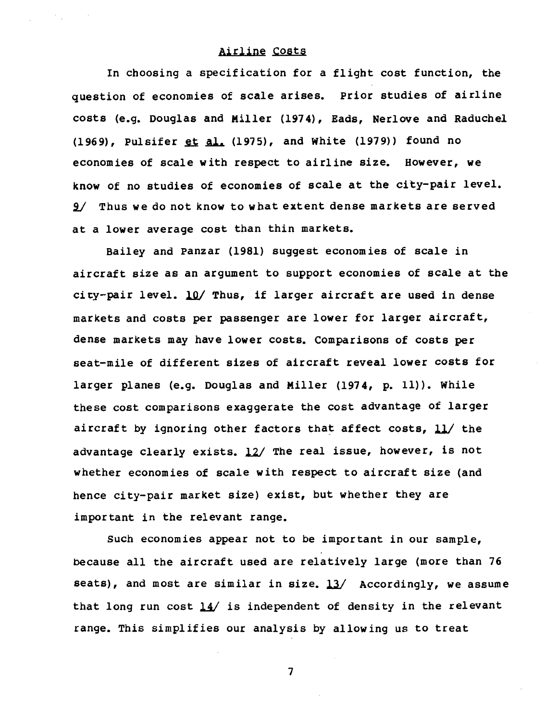## Airline Costs

In choosing a specification for a flight cost function, the question of economies of scale arises. Prior studies of airline costs (e.g. Douglas and Miller (1974), Eads, Nerlove and Raduchel  $(1969)$ , Pulsifer et al.  $(1975)$ , and White  $(1979)$ ) found no economies of scale with respect to airline size. However, we know of no studies of economies of scale at the city-pair level.  $9/$  Thus we do not know to what extent dense markets are served at a lower average cost than thin markets.

Bailey and Panzar (1981) suggest economies of scale in aircraft size as an argument to support economies of scale at the city-pair level. 10/ Thus, if larger aircraft are used in dense markets and costs per passenger are lower for larger aircraft, dense markets may have lower costs. Comparisons of costs per seat-mile of different sizes of aircraft reveal lower costs for larger planes (e.g. Douglas and Miller **(1974,** p. 11». While these cost comparisons exaggerate the cost advantage of larger aircraft by ignoring other factors that affect costs,  $11/$  the advantage clearly exists. l2/ The real issue, however, is not whether economies of scale with respect to aircraft size (and hence city-pair market size) exist, but whether they are important in the relevant range.

Such economies appear not to be important in our sample, because all the aircraft used are relatively large (more than 76 seats), and most are similar in size.  $13/$  Accordingly, we assume that long run cost  $14/$  is independent of density in the relevant range. This simplifies our analysis by allowing us to treat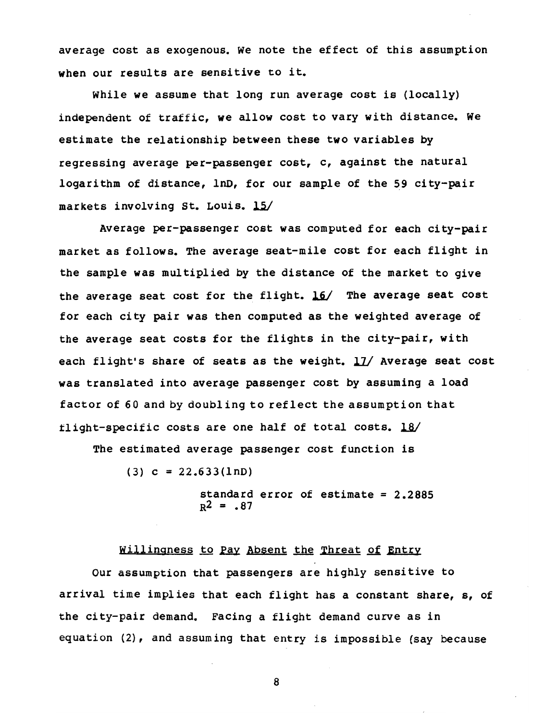average cost as exogenous. We note the effect of this assumption when our results are sensitive to it.

While we assume that long run average cost is (locally) independent of traffic, we allow cost to vary with distance. We estimate the relationship between these two variables by regressing average per-passenger cost, c, against the natural logarithm of distance, InD, for our sample of the 59 city-pair markets involving St. Louis. 15/

Average per-passenger cost was computed for each city-pair market as follows. The average seat-mile cost for each flight in the sample was multiplied by the distance of the market to give the average seat cost for the flight.  $16/$  The average seat cost for each city pair was then computed as the weighted average of the average seat costs for the flights in the city-pair, with each flight's share of seats as the weight.  $17/$  Average seat cost was translated into average passenger cost by assuming a load factor of 60 and by doubl ing to reflect the assumption that flight-specific costs are one half of total costs.  $18/$ 

The estimated average passenger cost function is

 $(3)$  c = 22.633(1nD)

standard error of estimate = 2.2885  $R^2 = .87$ 

### Willingness to Pay Absent the Threat of Entry

Our assumption that passengers are highly sensitive to arrival time implies that each flight has a constant share, s, of the city-pair demand. Facing a flight demand curve as in equation (2), and assuming that entry is impossible (say because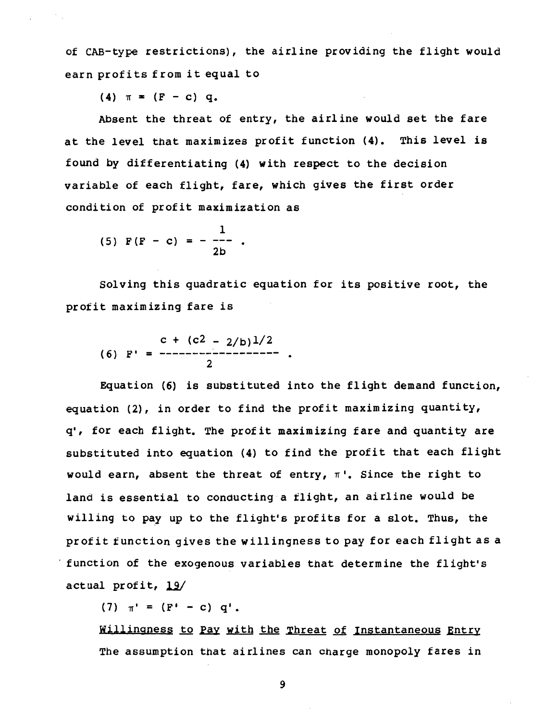of CAB-type restrictions), the airline providing the flight would earn profits from it equal to

(4)  $\pi = (F - c) q$ .

Absent the threat of entry, the airline would set the fare at the level that maximizes profit function (4). This level is found by differentiating (4) with respect to the decision variable of each flight, fare, which gives the first order condition of profit maximization as

(5) 
$$
F(F - c) = -\frac{1}{2b}
$$
.

Solving this quadratic equation for its positive root, the profit maximizing fare is

$$
c + (c2 - 2/b) \frac{1}{2}
$$
  
(6)  $F' =$  2

Equation (6) is substituted into the flight demand function, equation (2), in order to find the profit maximizing quantity, q', for each flight. The profit maximizing fare and quantity are substituted into equation (4) to find the profit that each flight would earn, absent the threat of entry,  $\pi$ '. Since the right to land is essential to conducting a flight, an airline would be willing to pay up to the flight's profits for a slot. Thus, the profit function gives the willingness to pay for each flight as a . function of the exogenous variables that determine the flight's actual profit, 19/

(7)  $\pi' = (F' - c) q'$ .

Willingness to Pay with the Threat of Instantaneous Entry The assumption that airlines can charge monopoly fares in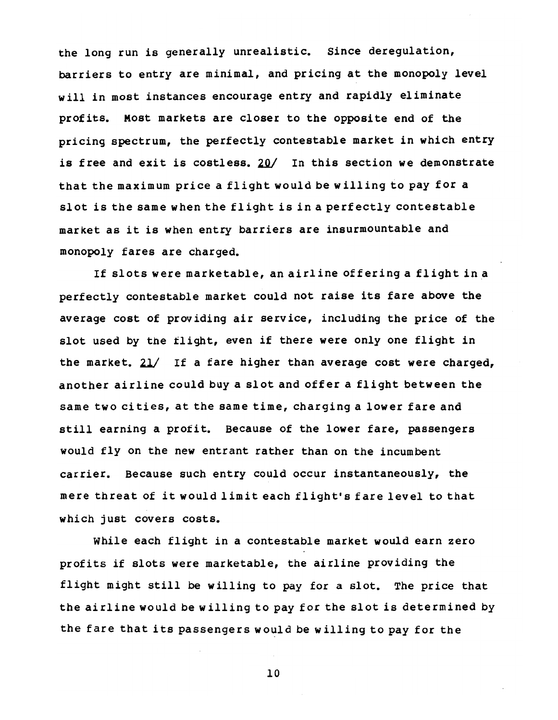the long run is generally unrealistic. Since deregulation, barriers to entry are minimal, and pricing at the monopoly level will in most instances encourage entry and rapidly eliminate profits. Most markets are closer to the opposite end of the pricing spectrum, the perfectly contestable market in which entry is free and exit is costless.  $20/$  In this section we demonstrate that the maximum price a flight would be willing to pay for a slot is the same when the flight is in a perfectly contestable market as it is when entry barriers are insurmountable and monopoly fares are charged.

If slots were marketable, an airline offering a flight ina perfectly contestable market could not raise its fare above the average cost of providing air service, including the price of the slot used by the flight, even if there were only one flight in the market.  $21/$  If a fare higher than average cost were charged, another airline could buy a slot and offer a flight between the same two cities, at the same time, charging a lower fare and still earning a profit. Because of the lower fare, passengers would fly on the new entrant rather than on the incumbent carrier. Because such entry could occur instantaneously, the mere threat of it would limit each flight's fare level to that which just covers costs.

while each flight in a contestable market would earn zero profits if slots were marketable, the airline providing the flight might still be willing to pay for a slot. The price that the airline would be willing to pay for the slot is determined by the fare that its passengers would be willing to pay for the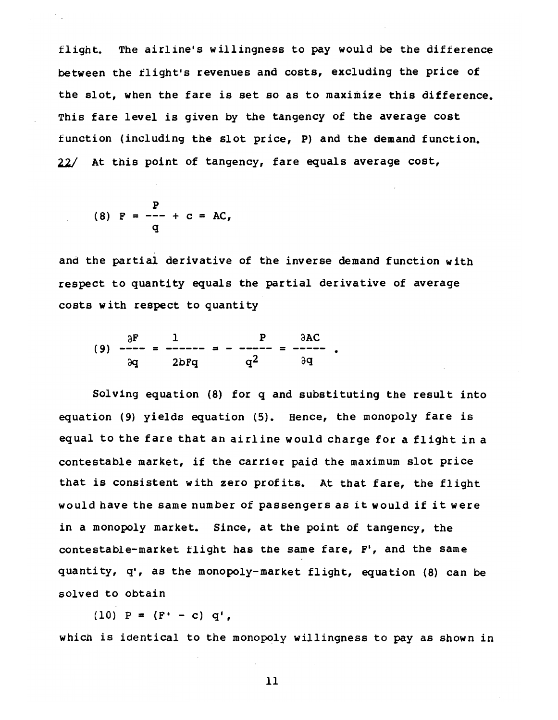flight. The airline's willingness to pay would be the difference between the flight's revenues and costs, excluding the price of the slot, when the fare is set so as to maximize this difference. This fare level is given by the tangency of the average cost function (including the slot price, P) and the demand function. 22/ At this point of tangency, fare equals average cost,

(8) 
$$
F = \frac{P}{q} + C = AC
$$
,

and the partial derivative of the inverse demand function with respect to quantity equals the partial derivative of average costs with respect to quantity

$$
(9) \ \frac{\partial F}{\partial q} = \frac{1}{2bFq} = \frac{P}{q^{2}} = \frac{\partial AC}{\partial q}.
$$
\n(9) \ \frac{\partial F}{\partial q} = \frac{1}{2bFq} = \frac{P}{q^{2}} = \frac{\partial AC}{\partial q}.

Solving equation (8) for q and substituting the result into equation (9) yields equation (5). Hence, the monopoly fare is equal to the fare that an airline would charge for a flight in a contestable market, if the carrier paid the maximum slot price that is consistent with zero profits. At that fare, the flight would have the same number of passengers as it would if it were in a monopoly market. Since, at the point of tangency, the contestable-market flight has the same fare, F', and the same quantity, q', as the monopoly-market flight, equation (8) can be solved to obtain

 $(10)$  P =  $(F' - c)$  q',

which is identical to the monopoly willingness to pay as shown in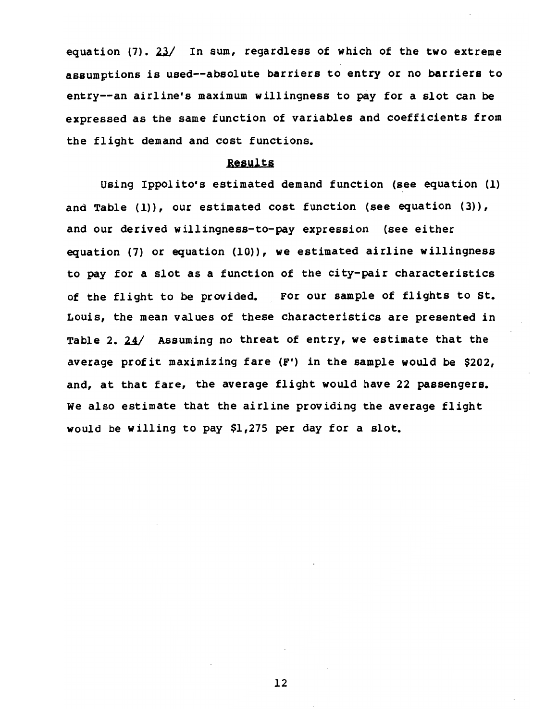equation  $(7)$ .  $23/$  In sum, regardless of which of the two extreme assumptions is used--absolute barriers to entry or no barriers to entry--an airline's maximum willingness to pay for a slot can be expressed as the same function of variables and coefficients from the flight demand and cost functions.

### Results

Using Ippolito's estimated demand function (see equation (1) and Table  $(1)$ ), our estimated cost function (see equation  $(3)$ ), and our derived willingness-to-pay expression (see either equation (7) or equation (10)), we estimated airline willingness to pay for a slot as a function of the city-pair characteristics of the flight to be provided. For our sample of flights to st. Louis, the mean values of these characteristics are presented in Table 2.  $24/$  Assuming no threat of entry, we estimate that the average profit maximizing fare  $(F')$  in the sample would be \$202, and, at that fare, the average flight would have 22 passengers. We also estimate that the airline providing the average flight would be willing to pay \$1,275 per day for a slot.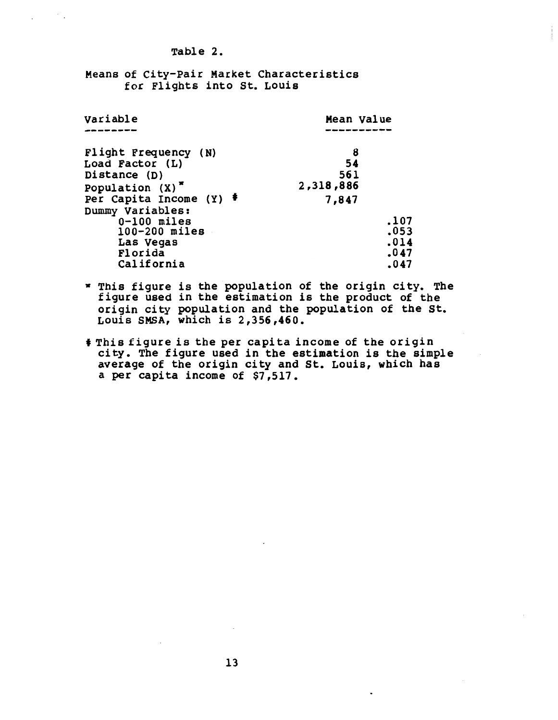Table 2.

Means of City-pair Market Characteristics for Flights into SL Louis

| Variable                               | Mean Value |
|----------------------------------------|------------|
| Flight Frequency (N)                   | 8          |
| Load Factor (L)                        | 54         |
| Distance (D)                           | 561        |
| Population $(X)$ <sup>*</sup>          | 2,318,886  |
| Per Capita Income $(Y)$ $\overline{Y}$ | 7,847      |
| Dummy Variables:                       |            |
| $0-100$ miles                          | .107       |
| 100-200 miles                          | .053       |
| Las Vegas                              | .014       |
| Florida                                | .047       |
| California                             | .047       |

- This figure is the population of the origin city. The figure used in the estimation is the product of the origin city population and the population of the st. Louis SMSA, which is  $2,356,460$ .
- This figure is the per capi ta income of the origin city. The figure used in the estimation is tbe simple average of the origin city and St. Louis, which has a per capita income of \$7,517.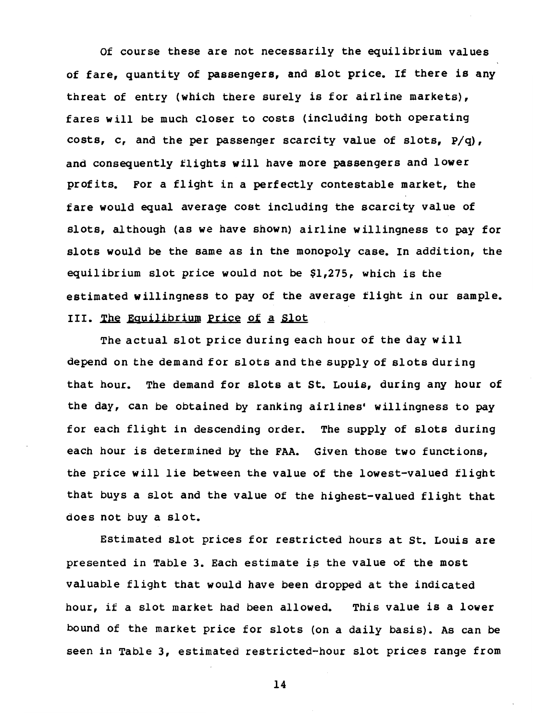Of course these are not necessarily the equilibrium values of fare, quantity of passengers, and slot price. If there is any threat of entry (which there surely is for airline markets), fares will be much closer to costs (including both operating costs, c, and the per passenger scarcity value of slots,  $P/q$ , and consequently flights will have more passengers and lower profits. For a flight in a perfectly contestable market, the fare would equal average cost including the scarcity value of slots, although (as we have shown) airline willingness to pay for slots would be the same as in the monopoly case. In addition, the equilibrium slot price would not be \$1,275, which is the estimated willingness to pay of the average flight in our sample. III. The Equilibrium Price of a Slot

The actual slot price during each hour of the day will depend on the demand for slots and the supply of slots during that hour. The demand for slots at st. Louis, during any hour of the day, can be obtained by ranking airlines' willingness to pay for each flight in descending order. The supply of slots during each hour is determined by the FAA. Given those two functions, the price will lie between the value of the lowest-valued flight that buys a slot and the value of the highest-valued flight that does not buy a slot.

Estimated slot prices for restricted hours at st. Louis are presented in Table 3. Each estimate is the value of the most valuable flight that would have been dropped at the indicated hour, if a slot market had been allowed. This value is a lower bound of the market price for slots (on a daily basis). As can be seen in Table 3, estimated restricted-hour slot prices range from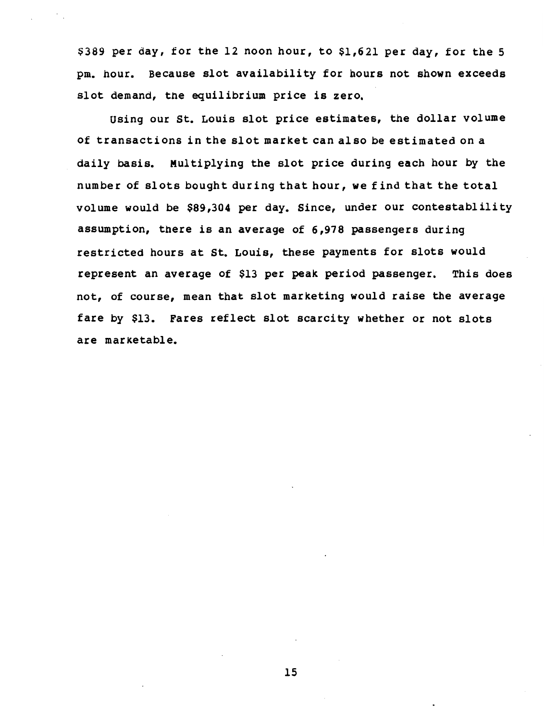\$389 per day, for the 12 noon hour, to \$1,621 per day, for the 5 pm. hour. Because slot availability for hours not shown exceeds slot demand, the equilibrium price is zero.

using our st. Louis slot price estimates, the dollar volume of transactions in the slot market can also be estimated on a daily basis. Multiplying the slot price during each hour by the number of slots bought during that hour, we find that the total volume would be \$89,304 per day. Since, under our contestablility assumption, there is an average of 6,978 passengers during restricted hours at st. Louis, these payments for slots would represent an average of *\$13* per peak period passenger. This does not, of course, mean that slot marketing would raise the average fare by \$13. Fares reflect slot scarcity whether or not slots are marketable.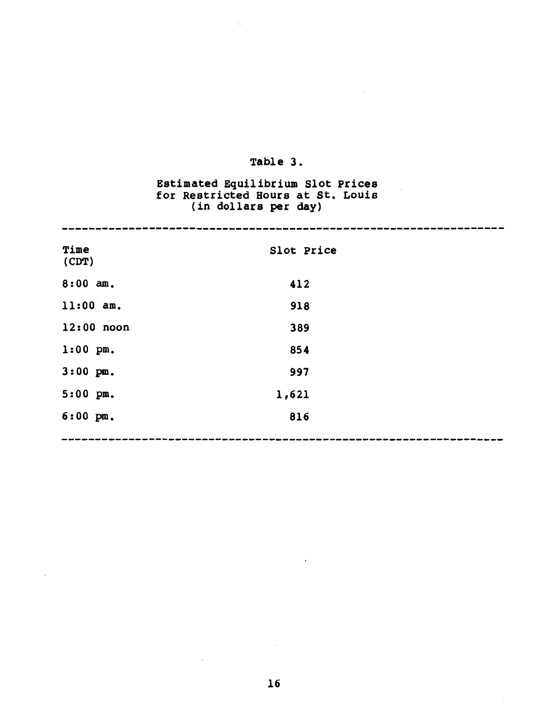## Estimated Equilibrium Slot Prices **ESCIMATED EQUITIDITUM STOT PITCES<br>for Restricted Hours at St. Louis** (in dollars per day)

Table 3.

| Time<br>(CDT) | Slot Price |  |
|---------------|------------|--|
| $8:00$ am.    | 412        |  |
| $11:00$ am.   | 918        |  |
| $12:00$ noon  | 389        |  |
| $1:00$ pm.    | 854        |  |
| $3:00$ pm.    | 997        |  |
| $5:00$ pm.    | 1,621      |  |
| $6:00$ pm.    | 816        |  |
|               |            |  |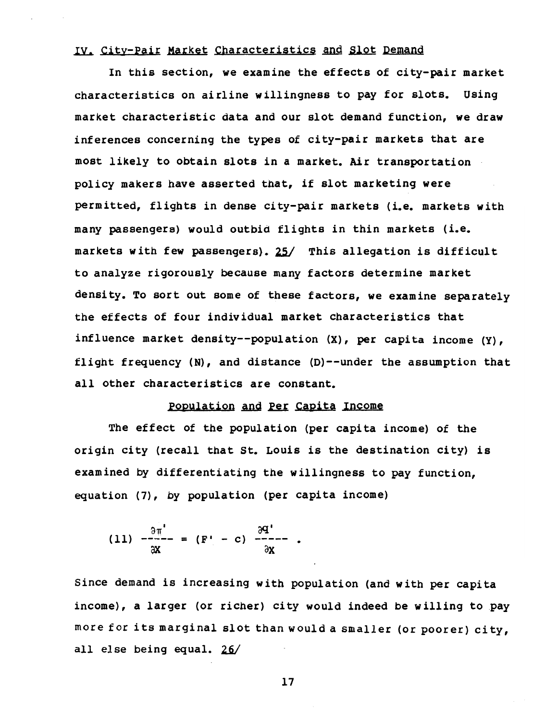## IV. City-Pair Market Characteristics and Slot Demand

In this section, we examine the effects of city-pair market characteristics on airline willingness to pay for slots. Using market characteristic data and our slot demand function, we draw inferences concerning the types of city-pair markets that are most likely to obtain slots in a market. Air transportation policy makers have asserted that, if slot marketing were permitted, flights in dense city-pair markets (i.e. markets with many passengers) would outbid flights in thin markets (i.e. markets with few passengers). 25/ This allegation is difficult to analyze rigorously because many factors determine market density. To sort out some of these factors, we examine separately the effects of four individual market characteristics that influence market density--population (X), per capita income (Y), flight frequency  $(N)$ , and distance  $(D)$ --under the assumption that all other characteristics are constant.

### Population and Per Capita Income

The effect of the population (per capita income) of the origin city (recall that St. Louis is the destination city) is examined by differentiating the willingness to pay function, equation (7), by population (per capita income)

(11) 
$$
-\frac{\partial \pi'}{\partial x} = (F' - c) \frac{\partial q'}{\partial x}.
$$

Since demand is increasing with population (and with per capita income), a larger (or richer) city would indeed be willing to pay more for its marginal slot than would a smaller (or poorer) city, all else being equal.  $26/$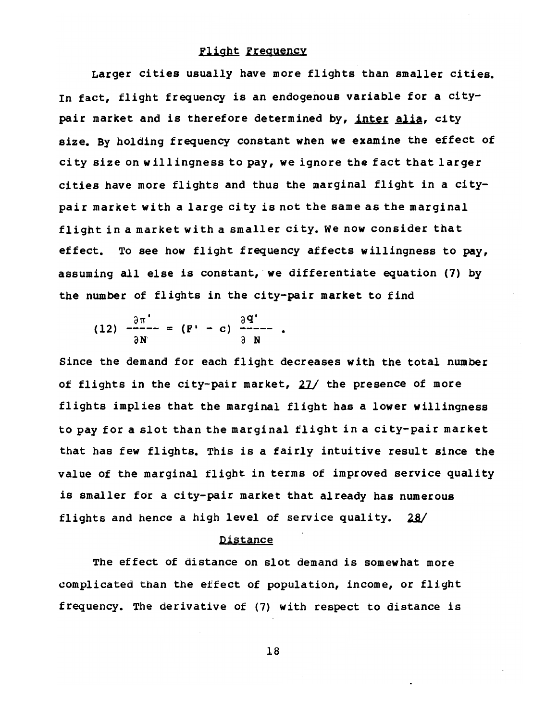#### Flight Frequency

Larger cities usually have more flights than smaller cities. In fact, flight frequency is an endogenous variable for a citypair market and is therefore determined by, inter alia, city size. By holding frequency constant when we examine the effect of city size on willingness to pay, we ignore the fact that larger cities have more flights and thus the marginal flight in a citypair market with a large ci ty is not the same as the marginal flight in a market with a smaller city. we now consider that effect. To see how flight frequency affects willingness to pay, assuming all else is constant, we differentiate equation (7) by the number of flights in the city-pair market to find

(12) 
$$
\frac{\partial \pi'}{\partial N} = (F' - c) \frac{\partial q'}{\partial N}.
$$

Since the demand for each flight decreases with the total number of flights in the city-pair market,  $27/$  the presence of more flights implies that the marginal flight has a lower willingness to pay for a slot than the marginal flight in a city-pair market that has few flights. This is a fairly intuitive result since the value of the marginal flight in terms of improved service quality is smaller for a city-pair market that already has numerous flights and hence a high level of service quality.  $28/$ 

#### Distance

The effect of distance on slot demand is somewhat more complicated than the effect of population, income, or flight frequency. The derivative of (7) with respect to distance is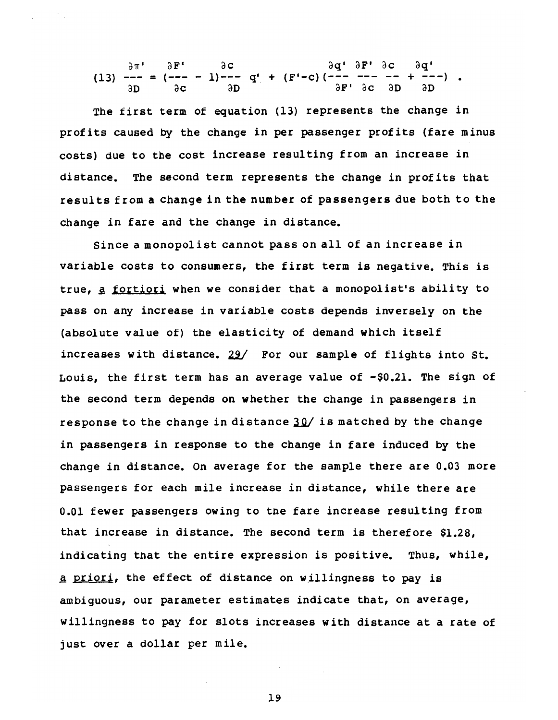$$
\begin{array}{cccc}\n\frac{\partial \pi}{\partial t} & \frac{\partial F}{\partial t} & \frac{\partial G}{\partial t} & \frac{\partial G}{\partial t} \\
(13) & \frac{\partial F}{\partial t} & = (- - - 1) - - q' + (F' - c) (- - - - - - - + - - -) \\
\frac{\partial G}{\partial t} & \frac{\partial G}{\partial t} & \frac{\partial G}{\partial t} & \frac{\partial G}{\partial t} & \frac{\partial G}{\partial t}\n\end{array}
$$

The first term of equation (13) represents the change in profits caused by the change in per passenger profits (fare minus costs) due to the cost increase resulting from an increase in distance. The second term represents the change in profits that results from a change in the number of passengers due both to the change in fare and the change in distance.

Since a monopolist cannot pass on all of an increase in variable costs to consumers, the first term is negative. This is true, a fortiori when we consider that a monopolist's ability to pass on any increase in variable costs depends inversely on the (absolute value of) the elasticity of demand which itself increases with distance.  $29/$  Por our sample of flights into St. Louis, the first term has an average value of -\$0.21. The sign of the second term depends on whether the change in passengers in response to the change in distance  $30/$  is matched by the change in passengers in response to the change in fare induced by the change in distance. On average for the sample there are 0.03 more passengers for each mile increase in distance, while there are 0.01 fewer passengers owing to the fare increase resulting from that increase in distance. The second term is therefore \$1.28, indicating that the entire expression is positive. Thus, while, a priori, the effect of distance on willingness to pay is ambiguous, our parameter estimates indicate that, on average, willingness to pay for slots increases with distance at a rate of just over a dollar per mile.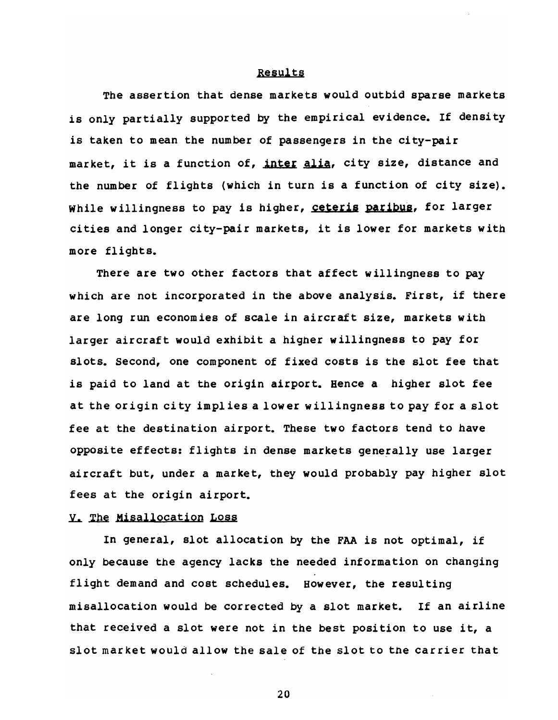#### Results

The assertion that dense markets would outbid sparse markets is only partially supported by the empirical evidence. If density is taken to mean the number of passengers in the city-pair market, it is a function of, inter alia, city size, distance and the number of flights (which in turn is a function of city size). While willingness to pay is higher, ceteris paribus, for larger cities and longer city-pair markets, it is lower for markets with more flights.

There are two other factors that affect willingness to pay which are not incorporated in the above analysis. First, if there are long run economies of scale in aircraft size, markets with larger aircraft would exhibit a higher willingness to pay for slots. Second, one component of fixed costs is the slot fee that is paid to land at the origin airport. Hence a higher slot fee at the origin city implies a lower willingness to pay for a slot fee at the destination airport. These two factors tend to have opposite effects: flights in dense markets generally use larger aircraft but, under a market, they would probably pay higher slot fees at the origin airport.

## V. The Misallocation Loss

In general, slot allocation by the FAA is not optimal, if only because the agency lacks the needed information on changing flight demand and cost schedules. However, the resulting misallocation would be corrected by a slot market. If an airline that received a slot were not in the best position to use it, a slot market would allow the sale of the slot to the carrier that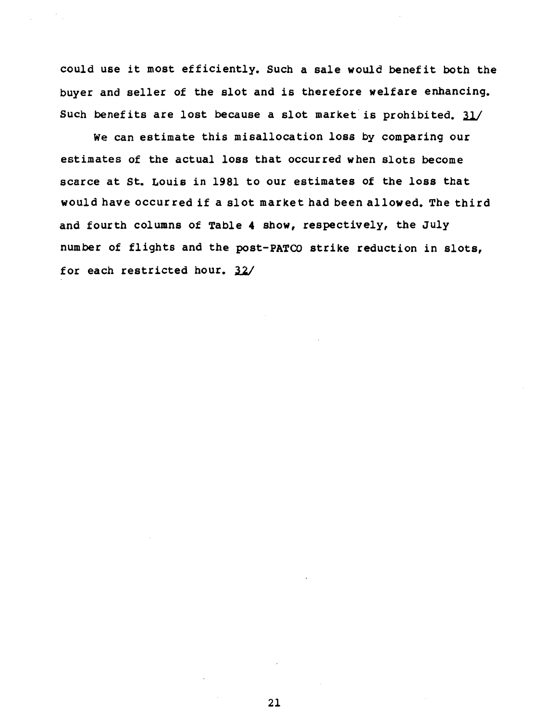could use it most efficiently. Such a sale would benefit both the buyer and seller of the slot and is therefore welfare enhancing. Such benefits are lost because a slot market is prohibited.  $31/$ 

We can estimate this misallocation loss by comparing our estimates of the actual loss that occurred when slots become scarce at St. Louis in *1981* to our estimates of the loss that would have occurred if a slot market had been allowed. The third and fourth columns of Table 4 show, respectively, the July number of flights and the post-PATCO strike reduction in slots, for each restricted hour.  $32/$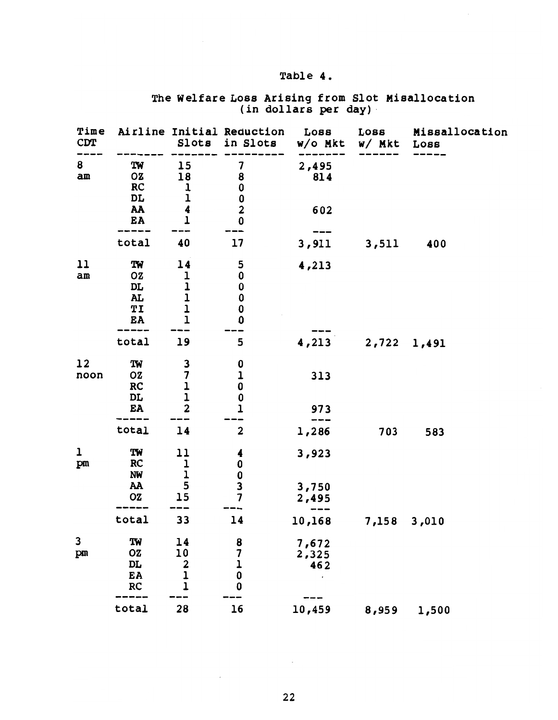## Table 4.

| Time<br><b>CDT</b> |                                       | Slots                                                      | Airline Initial Reduction<br>in Slots                             | Loss<br>w/o Mkt       | Loss<br>$w /$ Mkt | Missallocation<br>Loss |
|--------------------|---------------------------------------|------------------------------------------------------------|-------------------------------------------------------------------|-----------------------|-------------------|------------------------|
| 8<br>am            | TW<br>OZ<br>RC                        | 15<br>18<br>ı                                              | 7<br>8<br>$\boldsymbol{0}$                                        | 2,495<br>814          |                   |                        |
|                    | DL<br>AA<br>EA                        | ı<br>4<br>$\mathbf{I}$                                     | $\begin{array}{c} 0 \\ 2 \\ 0 \end{array}$                        | 602                   |                   |                        |
|                    | total                                 | 40                                                         | 17                                                                | 3,911                 | 3,511             | 400                    |
| 11<br>am           | TW<br>OZ<br>DL<br>AL<br>TI<br>EA      | 14<br>ı<br>$\mathbf 1$<br>$\mathbf 1$<br>ı<br>$\mathbf{I}$ | 5<br>$\mathbf 0$<br>0<br>$\bf{0}$<br>$\bf{0}$<br>$\boldsymbol{0}$ | 4,213                 |                   |                        |
|                    | total                                 | 19                                                         | 5                                                                 | 4,213                 | 2,722             | 1,491                  |
| 12<br>noon         | TW<br>OZ<br>RC<br>DL<br>EA            | <b>37112</b>                                               | 0<br>1<br>0<br>0<br>1                                             | 313                   |                   |                        |
|                    | total                                 | 14                                                         | 2                                                                 | 973<br>1,286          | 703               | 583                    |
| ı<br>pm            | TW<br><b>RC</b><br>NW                 | 11<br>1<br>$\mathbf 1$                                     | 4<br>0                                                            | 3,923                 |                   |                        |
|                    | AA<br>OZ                              | 5<br>15                                                    | 0<br>3<br>7                                                       | 3,750<br>2,495        |                   |                        |
|                    | total                                 | 33                                                         | 14                                                                | 10,168                | 7,158             | 3,010                  |
| 3<br>pm            | TW<br>OZ<br>$\mathbf{DL}$<br>EA<br>RC | 14<br>10<br>$\frac{2}{1}$                                  | <b>87100</b>                                                      | 7,672<br>2,325<br>462 |                   |                        |
|                    | total                                 | 28                                                         | 16                                                                | 10,459                | 8,959             | 1,500                  |

## The Welfare Loss Arising from Slot Misallocation (in dollars per day) .

22

 $\sim$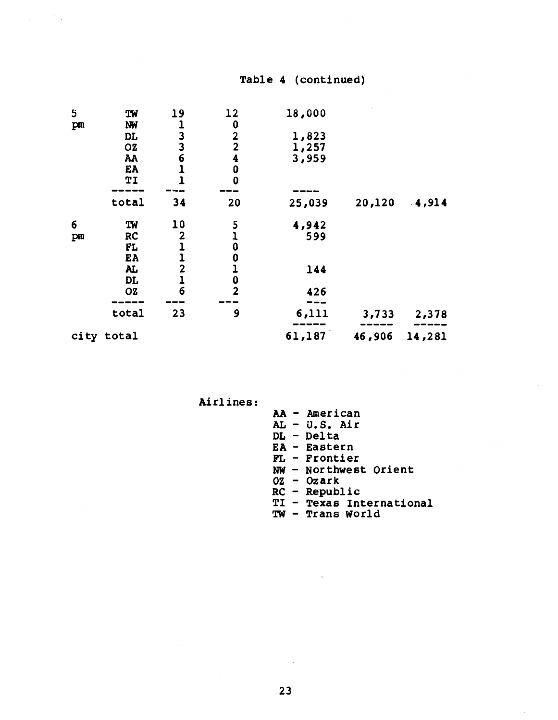## Table 4 (continued)

| 5<br>pm | TW<br>NW   | 19     | 12<br>0        | 18,000 |        |        |
|---------|------------|--------|----------------|--------|--------|--------|
|         | DL         |        |                | 1,823  |        |        |
|         | OZ         | 3<br>3 | $\frac{2}{2}$  | 1,257  |        |        |
|         | AA         | 6      | 4              | 3,959  |        |        |
|         | EA         |        | 0              |        |        |        |
|         | TI         |        | $\bf{0}$       |        |        |        |
|         |            |        |                |        |        |        |
|         |            |        |                |        |        |        |
|         | total      | 34     | 20             | 25,039 | 20,120 | .4,914 |
| 6       | TW         | 10     | 5              | 4,942  |        |        |
| pm      | RC         | 2      | ı              | 599    |        |        |
|         | FL         |        | 0              |        |        |        |
|         | EA         |        | 0              |        |        |        |
|         | AL         | 2      | ı              | 144    |        |        |
|         | DL         |        | 0              |        |        |        |
|         | OZ         | 6      | $\overline{2}$ | 426    |        |        |
|         |            |        |                |        |        |        |
|         | total      | 23     | 9              | 6,111  | 3,733  | 2,378  |
|         | city total |        |                | 61,187 | 46,906 | 14,281 |

Airlines:

| AA - American            |
|--------------------------|
| $AL - U.S. Air$          |
| DL - Delta               |
| $EA$ - Eastern           |
| $FL - Frontier$          |
| NW - Northwest Orient    |
| $OZ - Ozark$             |
| $RC - Republic$          |
| TI - Texas International |
| - Trans World            |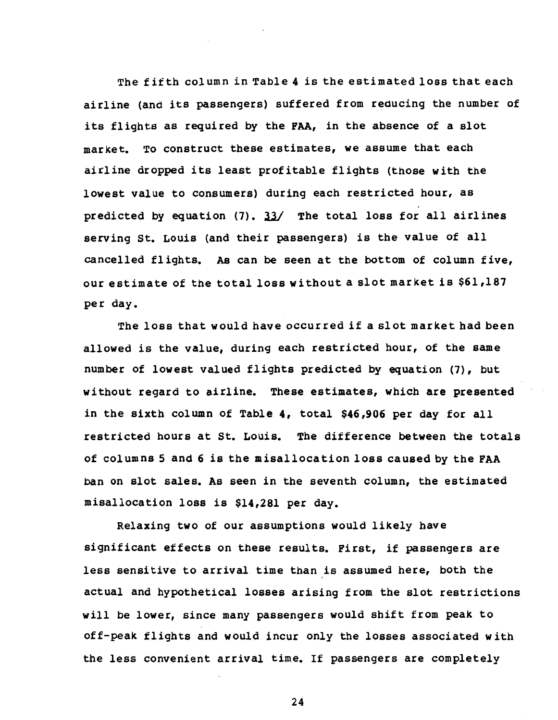The fifth column in Table 4 is the estimated loss that each airline (and its passengers) suffered from reducing the number of its flights as required by the FAA, in the absence of a slot market. To construct these estimates, we assume that each airline dropped its least profitable flights (those with the lowest value to consumers) during each restricted hour, as predicted by equation  $(7)$ .  $33/$  The total loss for all airlines serving st. Louis (and their passengers) is the value of all cancelled flights. As can be seen at the bottom of column five, our estimate of the total loss without a slot market is \$61,187 per day.

The loss that would have occurred if a slot market had been allowed is the value, during each restricted hour, of the same number of lowest valued flights predicted by equation (7), but without regard to airline. These estimates, which are presented in the sixth column of Table **4,** total \$46,906 per day for all restricted hours at st. Louis. The difference between the totals of columns 5 and 6 is the misallocation loss caused by the FAA ban on slot sales. As seen in the seventh column, the estimated misallocation loss is \$14,281 per day.

Relaxing two of our assumptions would likely have significant effects on these results. First, if passengers are less sensitive to arrival time than is assumed here, both the actual and hypothetical losses arising from the slot restrictions will be lower, since many passengers would shift from peak to off-peak flights and would incur only the losses associated with the less convenient arrival time. If passengers are completely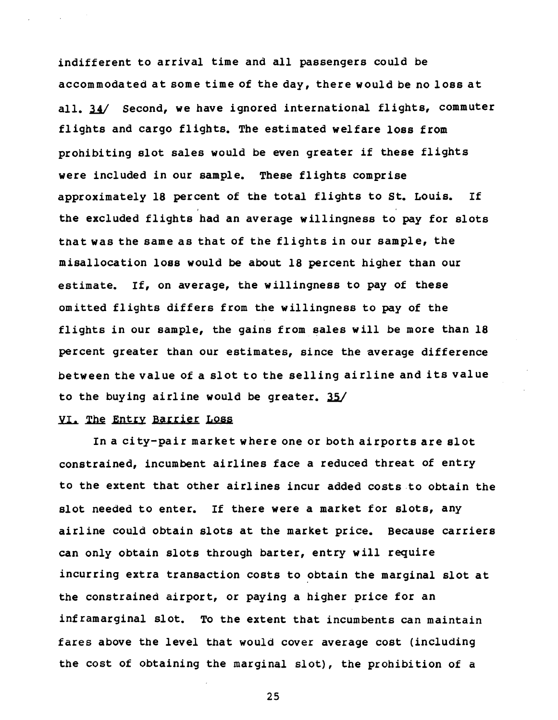indifferent to arrival time and all passengers could be accommodated at some time of the day, there would be no loss at all. 34/ Second, we have ignored international flights, commuter flights and cargo flights. The estimated welfare loss from prohibiting slot sales would be even greater if these flights were included in our sample. These flights comprise approximately 18 percent of the total flights to St. Louis. If the excluded flights had an average willingness to pay for slots that was the same as that of the flights in our sample, the misallocation loss would be about 18 percent higher than our estimate. If, on average, the willingness to pay of these omitted flights differs from the willingness to pay of the flights in our sample, the gains from sales will be more than 18 percent greater than our estimates, since the average difference between the value of a slot to the selling airline and its value to the buying airline would be greater.  $35/$ 

## YI. The Entry Barrier Loss

In a city-pair market where one or both airports are slot constrained, incumbent airlines face a reduced threat of entry to the extent that other airlines incur added costs to obtain the slot needed to enter. If there were a market for slots, any airline could obtain slots at the market price. Because carriers can only obtain slots through barter, entry will require incurring extra transaction costs to obtain the marginal slot at the constrained airport, or paying a higher price for an inframarginal slot. To the extent that incumbents can maintain fares above the level that would cover average cost (including the cost of obtaining the marginal slot), the prohibition of a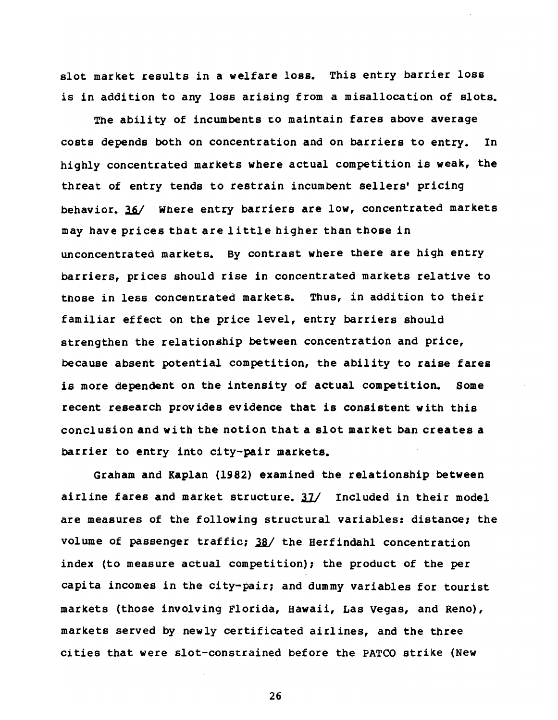slot market results in a welfare loss. This entry barrier loss is in addition to any loss arising from a misallocation of slots.

The ability of incumbents co maintain fares above average costs depends both on concentration and on barriers to entry. In highly concentrated markets where actual competition is weak, the threat of entry tends to restrain incumbent sellers' pricing behavior. 36/ Where entry barriers are low, concentrated markets may have prices that are little higher than those in unconcentrated markets. By contrast where there are high entry barriers, prices should rise in concentrated markets relative to those in less concencrated markets. Thus, in addition to their familiar effect on the price level, entry barriers should strengthen the relationship between concentration and price, because absent potential competition, the ability to raise fares is more dependent on the intensity of actual competition. Some recent research provides evidence that is consistent with this conclusion and with the notion that a slot market ban creates a barrier to entry into city-pair markets.

Graham and Kaplan (1982) examined the relationship between airline fares and market structure.  $37/$  Included in their model are measures of the following structural variables: distance; the volume of passenger traffic; Ja/ the Herfindahl concentration index (to measure actual competition); the product of the per capita incomes in the city-pair; and dummy variables for tourist markets (those involving Florida, Hawaii, Las Vegas, and Reno), markets served by newly certificated airlines, and the three cities that were slot-constrained before the PATCO strike (New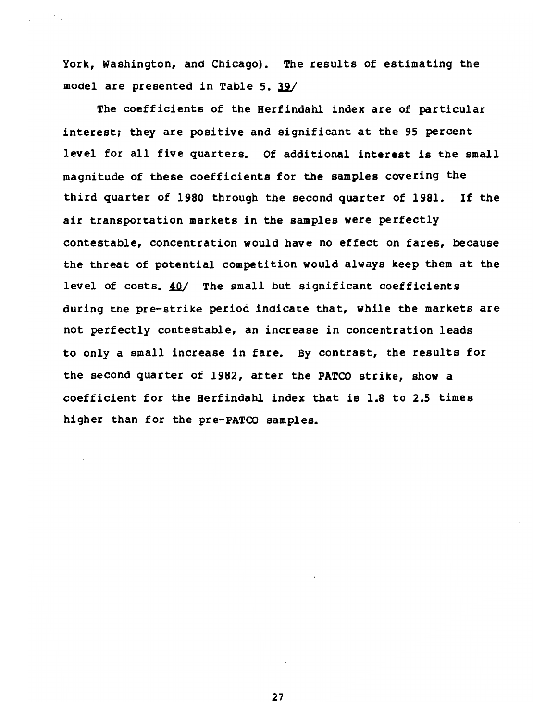York, washington, and Chicago). The results of estimating the model are presented in Table 5. 39/

The coefficients of the Berfindahl index are of particular interest; they are positive and significant at the 95 percent level for *all* five quarters. Of additional interest is the small magnitude of these coefficients for the samples covering the third quarter of 1980 through the second quarter of *1981.* If the air transportation markets in the samples were perfectly contestable, concentration would have no effect on fares, because the threat of potential competition would always keep them at the level of costs.  $40/$  The small but significant coefficients during the pre-strike period indicate that, while the markets are not perfectly contestable, an increase in concentration leads to only a small increase in fare. By contrast, the results for the second quarter of *1982,* after the PATOO strike, show a' coefficient for the Berfindahl index that is *1.8* to 2.5 times higher than for the pre-PATCO samples.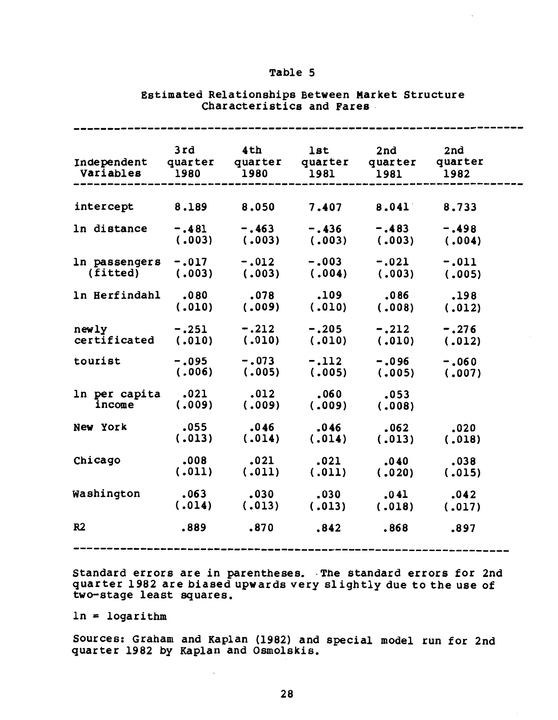### Table 5

| Independent<br>Variables  | 3rd<br>1980       | 4th<br>quarter quarter quarter quarter<br>1980 | <b>lst</b><br>1981 | 2 <sub>nd</sub><br>1981 | 2nd<br>quarter<br>1982 |  |
|---------------------------|-------------------|------------------------------------------------|--------------------|-------------------------|------------------------|--|
|                           |                   |                                                |                    |                         |                        |  |
| intercept                 | 8.189             | 8.050                                          | 7.407              | 8.041                   | 8.733                  |  |
| In distance               | $-.481$<br>(.003) | $-.463$<br>(.003)                              | $-.436$<br>(.003)  | $-1483$<br>(.003)       | $-1498$<br>(.004)      |  |
| ln passengers<br>(fitted) | $-.017$           | $-.012$<br>$(.003)$ $(.003)$                   | $-.003$<br>(.004)  | $-.021$<br>(.003)       | $-.011$<br>(.005)      |  |
| In Herfindahl             | .080<br>(.010)    | .078<br>(.009)                                 | .109<br>(.010)     | .086<br>(.008)          | .198<br>(.012)         |  |
| newly<br>certificated     | $-.251$<br>(.010) | $-.212$<br>(.010)                              | $-.205$<br>(.010)  | $-.212$<br>(.010)       | $-.276$<br>(.012)      |  |
| tourist                   | $-0.95$<br>(.006) | $-.073$<br>(.005)                              | $-.112$<br>(.005)  | $-.096$<br>(.005)       | $-0.060$<br>(.007)     |  |
| In per capita<br>income   | .021<br>(.009)    | .012<br>(.009)                                 | .060<br>(.009)     | .053<br>(.008)          |                        |  |
| New York                  | .055<br>(.013)    | .046<br>(.014)                                 | .046<br>(.014)     | .062<br>(.013)          | .020<br>(.018)         |  |
| Chicago                   | .008<br>(.011)    | .021<br>(.011)                                 | .021<br>(.011)     | .040<br>(.020)          | .038<br>(.015)         |  |
| Washington                | .063<br>(.014)    | .030<br>(.013)                                 | .030<br>(.013)     | .041<br>(.018)          | .042<br>(.017)         |  |
| R <sub>2</sub>            | .889              | .870                                           | .842               | .868                    | .897                   |  |
|                           |                   |                                                |                    |                         |                        |  |

#### Estimated Relationships Between Market Structure Characteristics and Fares·

Standard errors are in parentheses. The standard errors for 2nd quarter 1982 are biased upwards very slightly due to the use of two-stage least squares.

## $ln = 1$ ogarithm

Sources: Graham and Kaplan (1982) and special model run for 2nd quarter 1982 by Kaplan and Osmolskis.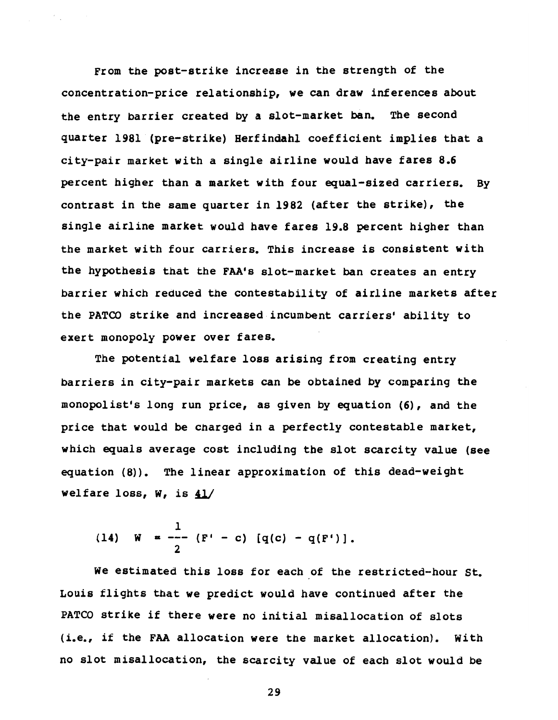From the post-strike increase in the strength of the concentration-price relationship, we can draw inferences about the entry barrier created by a slot-market ban. The second quarter 1981 (pre-strike) Berfindahl coefficient implies that a city-pair market with a single airline would have fares 8.6 percent higher than a market with four equal-sized carriers. By contrast in the same quarter in 1982 (after the strike), the single airline market would have fares 19.8 percent higher than the market with four carriers. This increase is consistent with the hypothesis that the FAA's slot-market ban creates an entry barrier which reduced the contestability of airline markets after the PATCO strike and increased incumbent carriers' ability to exert monopoly power over fares.

The potential welfare loss arising from creating entry barriers in City-pair markets can be obtained by comparing the monopolist's long run price, as given by equation (6), and the price that would be Charged in a perfectly contestable market, which equals average cost including the slot scarcity value (see equation (8)). The linear approximation of this dead-weight welfare loss,  $W$ , is  $41/$ 

(14) 
$$
W = \frac{1}{2}
$$
 (F' - c) [q(c) - q(F')]

We estimated this loss for each of the restricted-hour st. Louis flights that we predict would have continued after the PATCO strike if there were no initial misallocation of slots (i.e., if the FAA allocation were the market allocation). With no slot misallocation, the scarcity value of each slot would be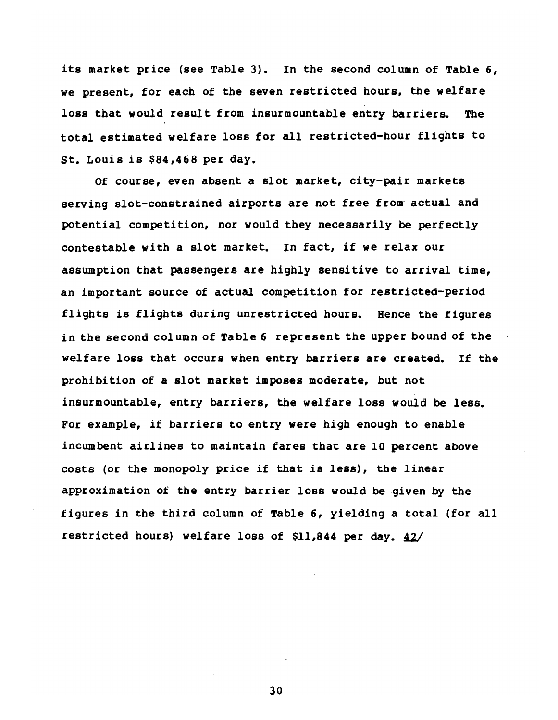its market price (see Table 3). In the second column of Table 6, we present, for each of the seven restricted hours, the welfare loss that would result from insurmountable entry barriers. The total estimated welfare loss for all restricted-hour flights to st. Louis is \$84,468 per day.

Of course, even absent a slot market, city-pair markets serving slot-constrained airports are not free from' actual and potential competition, nor would they necessarily be perfectly contestable with a slot market. In fact, if we relax our assumption that passengers are highly sensitive to arrival time, an important source of actual competition for restricted-period flights is flights during unrestricted hours. Hence the figures in the second column of Table 6 represent the upper bound of the welfare loss that occurs when entry barriers are created. If the prohibition of a slot market imposes moderate, but not insurmountable, entry barriers, the welfare loss would be less. For example, if barriers to entry were high enough to enable incumbent airlines to maintain fares that are 10 percent above costs (or the monopoly price if that is less), the linear approximation of the entry barrier loss would be given by the figures in the third column of Table 6, yielding a total (for all restricted hours) welfare loss of \$11,844 per day. 42/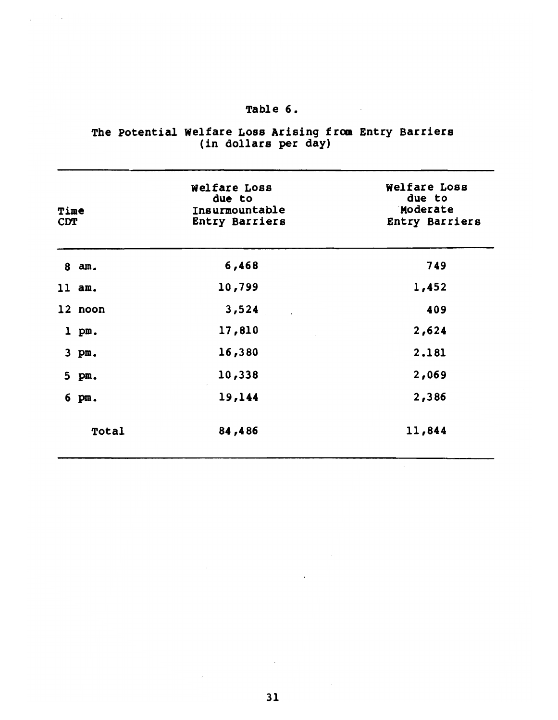## Table 6.

## The Potential Welfare Loss Arising from Entry Barriers (in dollars per day)

| Time<br><b>CDT</b> |          | Welfare Loss<br>due to<br>Insurmountable<br><b>Entry Barriers</b> | Welfare Loss<br>due to<br>Moderate<br>Entry Barriers |  |
|--------------------|----------|-------------------------------------------------------------------|------------------------------------------------------|--|
|                    | 8 am.    | 6,468                                                             | 749                                                  |  |
|                    | $11$ am. | 10,799                                                            | 1,452                                                |  |
|                    | 12 noon  | 3,524                                                             | 409                                                  |  |
|                    | $1$ pm.  | 17,810                                                            | 2,624                                                |  |
|                    | 3 pm.    | 16,380                                                            | 2.181                                                |  |
|                    | 5 pm.    | 10,338                                                            | 2,069                                                |  |
|                    | 6 pm.    | 19,144                                                            | 2,386                                                |  |
|                    | Total    | 84,486                                                            | 11,844                                               |  |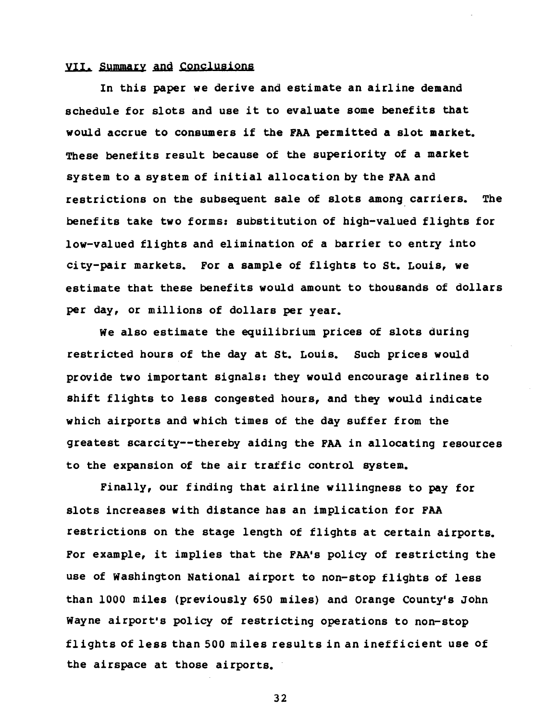## VII. Summary and Conclusions

In this paper we derive and estimate an airline demand schedule for slots and use it to evaluate some benefits that would accrue to consumers if the FAA permitted a slot market. These benefits result because of the superiority of a market system to a system of initial allocation by the FAA and restrictions on the subsequent sale of slots among, carriers. The benefits take two forms: substitution of high-valued flights for low-valued flights and elimination of a barrier to entry into city-pair markets. For a sample of flights to st. Louis, we estimate that these benefits would amount to thousands of dollars per day, or millions of dollars per year.

We also estimate the equilibrium prices of slots during restricted hours of the day at st. Louis. Such prices would provide two important signals: they would encourage airlines to shift flights to less congested hours, and they would indicate which airports and which times of the day suffer from the greatest scarcity--thereby aiding the FAA in allocating resources to the expansion of the air traffic control system.

Finally, our finding that airline willingness to pay for slots increases with distance has an implication for FAA restrictions on the stage length of flights at certain airports. For example, it implies that the FAA's policy of restricting the use of Washington National airport to non-stop flights of less than 1000 miles (previously 650 miles) and Orange County's John Wayne airport's policy of restricting operations to non-stop flights of less than 500 miles results in an inefficient use of the airspace at those airports.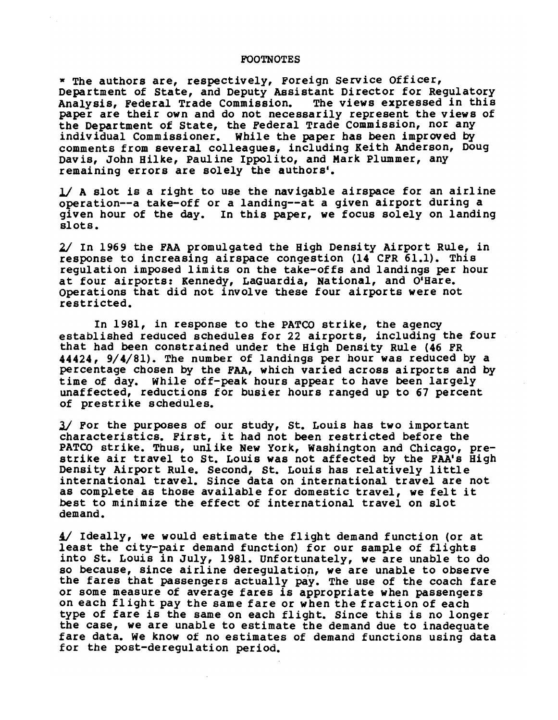#### FOOTNOTES

• The authors are, respectively, Foreign Service Officer, Department of State, and Deputy Assistant Director for Regulatory Analysis, Federal Trade Commission. The views expressed in this paper are their own and do not necessarily represent the views of the Department of State, the Federal Trade commission, nor any individual Commissioner. While the paper has been improved by comments from several colleagues, including Keith Anderson, OOug Davis, John Hilke, Pauline Ippolito, and Mark Plummer, any remaining errors are solely the authors'.

1/ A slot is a right to use the navigable airspace for an airline operation--a take-off or a landing--at a given airport during a given hour of the day. In this paper, we focus solely on landing slots.

2/ In 1969 the FAA promulgated the High Density Airport Rule, in response to increasing airspace congestion (14 CFR 61.1). This regulation imposed limits on the take-offs and landings per hour at four airports: Kennedy, LaGuardia, National, and O'Hare. operations that did not inVOlve these four airports were not restricted.

In 1981, in response to the PATCO strike, the agency established reduced schedules for 22 airports, including the four that had been constrained under the High Density Rule (46 FR 44424, 9/4/81). The number of landings per hour was reduced by a percentage chosen by the FAA, which varied across airports and by time of day. While off-peak hours appear to have been largely unaffected, reductions for busier hours ranged up to 67 percent of prestrike schedules.

 $1/$  For the purposes of our study, St. Louis has two important characteristics. First, it had not been restricted before the PATCO strike. Thus, unlike New York, Washington and Chicago, pre-<br>strike air travel to St. Louis was not affected by the FAA's High<br>Density Airport Rule. Second, St. Louis has relatively little ensity Alfport Rule. Second, St. Louis has felatively little<br>.nternational travel. Since data on international travel are not<br>is complete as those available for domestic travel, we felt it as complete as those available for domestic travel, we felt it<br>best to minimize the effect of international travel on slot demand.

 $\frac{1}{2}$  Ideally, we would estimate the flight demand function (or at least the city-pair demand function) for our sample of flights<br>into St. Louis in July, 1981. Unfortunately, we are unable to do so because, since airline deregulation, we are unable to observe the fares that passengers actually pay. The use of the coach fare or some measure of average fares is appropriate when passengers on each flight pay the same fare or when the fraction of each type of fare is the same on each flight. Since this is no longer<br>the case, we are unable to estimate the demand due to inadequate fare data. We know of no estimates of demand functions using data for the post-deregulation period.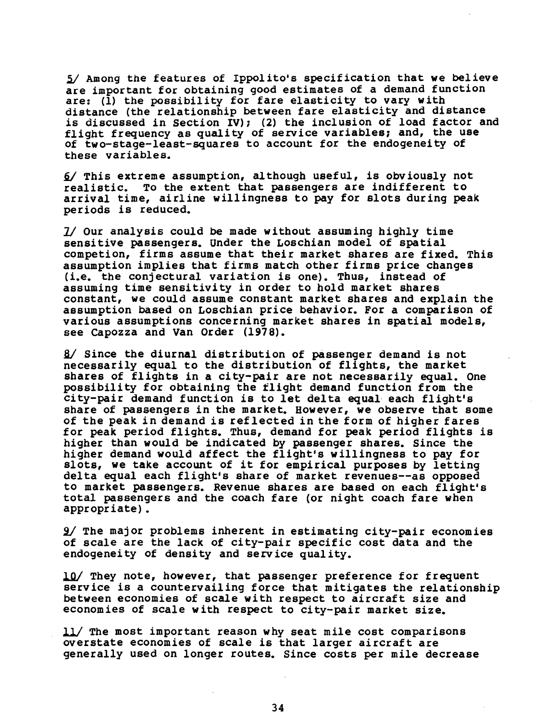5/ Among the features of Ippolito's specification that we believe are important for obtaining good estimates of a demand function are: (1) the possibility for fare elasticity to vary with distance (the relationship between fare elasticity and distance is discussed in Section IV); (2) the inclusion of load factor and flight frequency as quality of service variables; and, the use of two-stage-least-squares to account for the endogeneity of these variables.

 $6/$  This extreme assumption, although useful, is obviously not realistic. To the extent that passengers are indifferent to arrival time, airline willingness to pay for slots during peak periods is reduced.

1/ Our analysis could be made without assuming highly time sensitive passengers. Under the Loschian model of spatial competion, firms assume that their market shares are fixed. This assumption implies that firms match other firms price changes (i.e. the conjectural variation is one). Thus, instead of assuming time sensitivity in order to hold market shares constant, we could assume constant market shares and explain the assumption based on Loschian price behavior. For a comparison of various assumptions concerning market shares in spatial models, see Capozza and Van Order (1978).

 $8/$  Since the diurnal distribution of passenger demand is not necessarily equal to tbe distribution of flights, the market shares of flights in a city-pair are not necessarily equal. One possibility for obtaining the flight demand function from the city-pair demand function is to let delta equal each flight's share of passengers in the market. However, we observe that some of the peak in demand is reflected in the form of higher fares for peak period flights. Thus, demand for peak period flights is higher than would be indicated by passenger shares. Since the higher demand would affect the flight's willingness to pay for slots, we take account of it for empirical purposes by letting delta equal each flight's share of market revenues--as opposed to market passengers. Revenue shares are based on each flight's total passengers and the coach fare (or night coach fare when appropriate).

 $9/$  The major problems inherent in estimating city-pair economies of scale are the lack of city-pair specific cost data and the endogeneity of density and service quality.

10/ They note, however, that passenger preference for frequent service is a countervailing force that mitigates the relationship between economies of scale with respect to aircraft size and economies of scale with respect to city-pair market size.

ll/ The most important reason why seat mile cost comparisons overstate economies of scale is that larger aircraft are generally used on longer routes. Since costs per mile decrease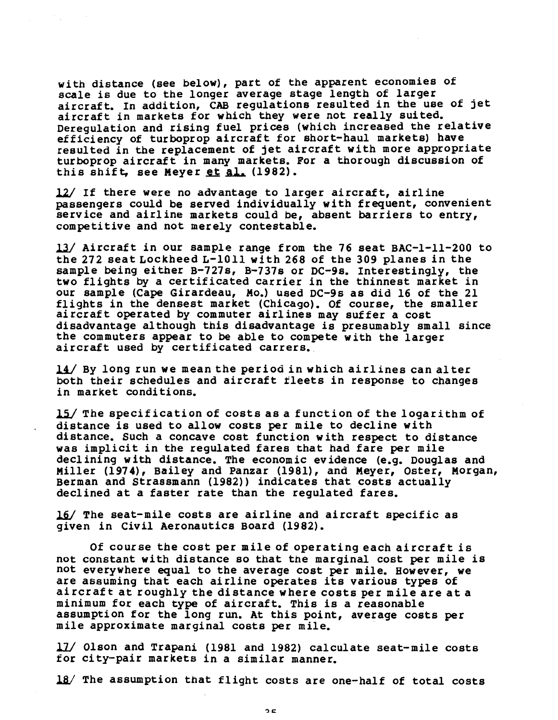with distance (see below), part of the apparent economies of<br>scale is due to the longer average stage length of larger aircraft. In addition, CAB regulations resulted in the use of jet<br>aircraft in markets for which they were not really suited. Deregulation and rising fuel prices (which increased the relative efficiency of turboprop aircraft for short-haul markets) have resulted in the replacement of jet aircraft with more appropriate turboprop aircraft in many markets. For a thorough discussion of this shift, see Meyer  $et$   $al.$  (1982).

12/ If there were no advantage to larger aircraft, airline passengers could be served individually with frequent, convenient service and airline markets could be, absent barriers to entry, competitive and not merely contestable.

13/ Aircraft in our sample range from the 76 seat BAC-1-11-200 to the 272 seat Lockheed L-lOll with 268 of the 309 planes in the sample being either B-727s, B-737s or DC-9s. Interestingly, the two flights by a certificated carrier in the thinnest market in our sample (Cape Girardeau, Mo.) used DC-9s as did 16 of the 21 flights in the densest market (Chicago). Of course, the smaller aircraft operated by commuter airlines may suffer a cost disadvantage although this disadvantage is presumably small since the commuters appear to be able to compete with the larger aircraft used by certificated carrers.

 $14/$  By long run we mean the period in which airlines can alter both their schedules and aircraft tleets in response to changes in market conditions.

 $15/$  The specification of costs as a function of the logarithm of distance is used to allow costs per mile to decline with distance. Such a concave cost function with respect to distance was implicit in the regulated fares that had fare per mile declining with distance. The economic evidence (e.g. Douglas and Miller (1974), Bailey and Panzar (1981), and Meyer, Oster, Morgan, Berman and Strassmann (1982)) indicates that costs actually declined at a faster rate than the regulated fares.

li/ The seat-mile costs are airline and aircraft specific as given in Civil Aeronautics Board (1982).

Of course the cost per mile of operating each aircraft is not constant with distance so that the marginal cost per mile is not everywhere equal to the average cost per mile. However, we are assuming that each airline operates its various types of aircraft at roughly the distance where costs per mile are at a minimum for each type of aircraft. This is a reasonable assumption for the long run. At this point, average costs per mile approximate marginal costs per mile.

11/ Olson and Trapani (1981 and 1982) calculate seat-mile costs for city-pair markets in a similar manner.

18/ The assumption that flight costs are one-half of total costs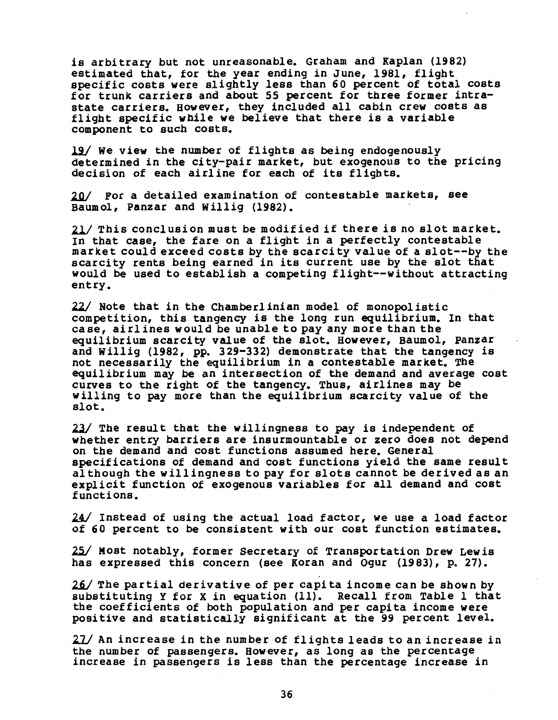is arbitrary but not unreasonable. Graham and Kaplan (1982) estimated that, for the year ending in June, 1981, flight<br>specific costs were slightly less than 60 percent of total costs for trunk carriers and about 55 percent for three former intrastate carriers. However, they included all cabin crew costs as flight specific while we believe that there is a variable component to such costs.

19/ We view the number of flights as being endogenously<br>determined in the city-pair market, but exogenous to the pricing decision of each airline for each of its flights.

20/ For a detailed examination of contestable markets, see Baumol, Panzar and Willig (1982).

21/ This conclusion must be modified if there is no slot market. In that case, the fare on a flight in a perfectly contestable market could exceed costs by the scarci ty value of a slot--by the scarcity rents being earned in its current use by the slot that would be used to establish a competing flight--without attracting entry.

 $22/$  Note that in the Chamberlinian model of monopolistic competition, this tangency is the long run equilibrium. In that case, airlines would be unable to pay any more than the equilibrium scarcity value of the slot. However, Baumol, Panzar and Willig (1982, pp. 329-332) demonstrate that the tangency is not necessarily the equilibrium in a contestable market. The equilibrium may be an intersection of the demand and average cost curves to the right of the tangency. Thus, airlines may be willing to pay more than the equilibrium scarcity value of the slot.

 $23/$  The result that the willingness to pay is independent of whether entry barriers are insurmountable or zero does not depend on the demand and cost functions assumed here. General specifications of demand and cost functions yield the same result although the willingness to pay for slots cannot be derived as an explicit function of exogenous variables for all demand and cost functions.

24/ Instead of using the actual load factor, we use a load factor of 60 percent to be consistent with our cost function estimates.

*2SI* Most notably, former Secretary of Transportation Drew Lewis has expressed this concern (see Koran and Ogur (1983), p. 27).

26/ The partial derivative of per capita income can be shown by substituting Y for X in equation (11). Recall from Table 1 that the coefficients of both population and per capita income were positive and statistically significant at the 99 percent level.

 $27/$  An increase in the number of flights leads to an increase in the number of passengers. However, as long as the percentage<br>increase in passengers is less than the percentage increase in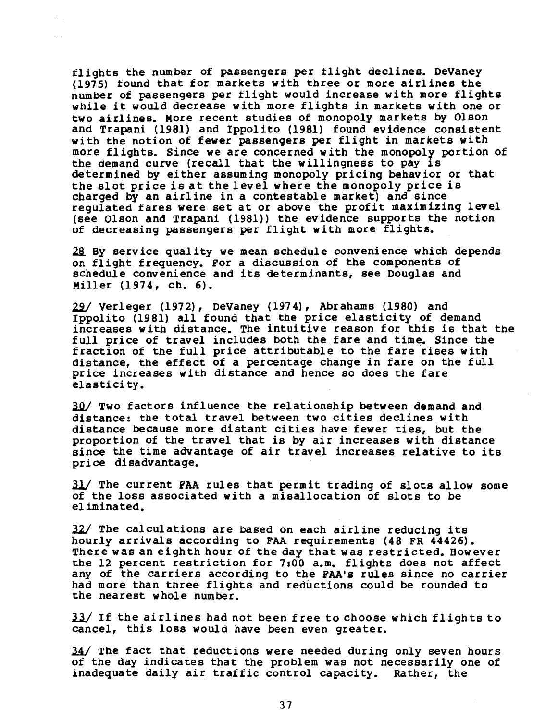flights the number of passengers per flight declines. DeVaney (1975) found that for markets with three or more airlines the number of passengers per flight would increase with more flights while it would decrease with more flights in markets with one or two airlines. More recent studies of monopoly markets by Olson and Trapani (1981) and Ippolito (198l) found evidence consistent with the notion of fewer passengers per flight in markets with more flights. Since we are concerned with the monopoly portion of the demand curve (recall that the willingness to pay  $is$ determined by either assuming monopoly pricing behavior or that the slot price is at the level where the monopoly price is charged by an airline in a contestable market) and since regulated fares were set at or above the profit maximizing level (see Olson and Trapani (1981)) the evidence supports the notion of decreasing passengers per flight with more flights.

28 By service quality we mean schedule convenience which depends on flight frequency. For a discussion of the components of schedule convenience and its determinants, see Douglas and Miller (1974, ch. 6).

29/ Verleger (1972), DeVaney (1974), Abrahams (1980) and Ippolito (1981) all found that the price elasticity of demand increases with distance. The intuitive reason for this is that the full price of travel includes both the fare and time. Since the fraction of the full price attributable to the fare rises with distance, the effect of a percentage change in fare on the full price increases with distance and hence so does the fare elastici ty.

10/ Two factors influence the relationship between demand and distance: the total travel between two cities declines with distance because more distant cities have fewer ties, but the proportion of the travel that is by air increases with distance since the time advantage of air travel increases relative to its price disadvantage.

31/ The current FAA rules that permit trading of slots allow some of the loss associated with a misallocation of slots to be el imina ted.

 $32/$  The calculations are based on each airline reducing its hourly arrivals according to FAA requirements (48 FR 44426). There was an eighth hour of the day that was restricted. However the 12 percent restriction for 7:00 a.m. flights does not affect any of the carriers according to the FAA's rules since no carrier had more than three flights and reductions could be rounded to the nearest whole number.

33/ If the airlines had not been free to choose which flights to cancel, this loss would have been even greater.

 $34/$  The fact that reductions were needed during only seven hours of the day indicates that the problem was not necessarily one of inadequate daily air traffic control capacity. Rather, the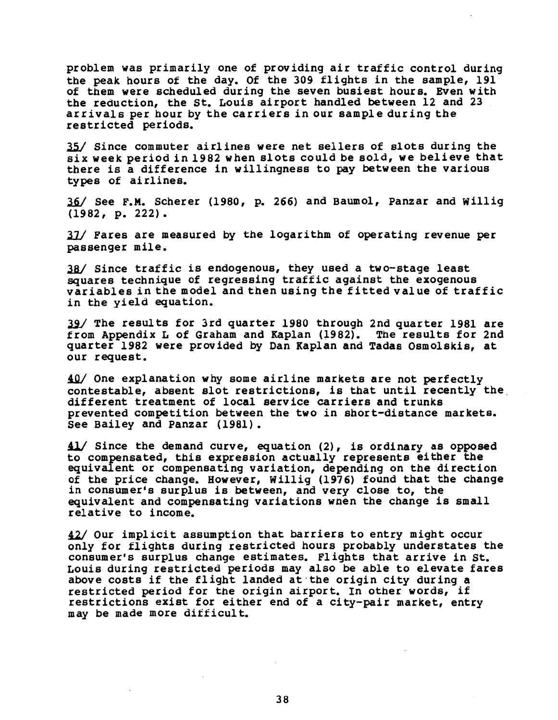problem was primarily one of providing air traffic control during the peak hours of the day. Of the 309 flights in the sample, 191 of them were scheduled during the seven busiest hours. Even with the reduction, the st. Louis airport handled between 12 and 23 arrivals per hour by the carriers in our sample during the restricted periods.

l5/ Since commuter airlines were net sellers of slots during the six week period in 1982 when slots could be sold, we believe that there is a difference in willingness to pay between the various types of ai rlines.

 $36/$  See F.M. Scherer (1980, p. 266) and Baumol, Panzar and Willig (1982, p. 222).

37/ Fares are measured by the logarithm of operating revenue per passenger mile.

 $38/$  Since traffic is endogenous, they used a two-stage least squares technique of regressing traffic against the exogenous variables in the model and then using the fitted value of traffic in the yield equation.

19/ The results for 3rd quarter 1980 through 2nd quarter 1981 are from Appendix L of Graham and Kaplan (1982). The results for 2nd quarter 1982 were provided by Dan Kaplan and Tadas Osmolskis, at our request.

40/ One explanation why some airline markets are not perfectly contestable, absent slot restrictions, is that until recently the, different treatment of local service carriers and trunks prevented competition between the two in short-distance markets. See Bailey and Panzar (1981).

Al/ Since the demand curve, equation (2), is ordinary as opposed to compensated, this expression actually represents either the equivalent or compensating variation, depending on the direction of the price change. However, Willig (1976) found that the change in consumer's surplus is between, and very close to, the equivalent and compensating variations When the change is small relative to income.

42/ Our implicit assumption that barriers to entry might occur only for flights during restricted hours probably understates the consumer's surplus change estimates. Flights that arrive in St. Louis during restricted periods may also be able to elevate fares above costs if the flight landed at'the origin city during a restricted period for the origin airport. In other words, if restrictions exist for either end of a City-pair market, entry may be made more difficult.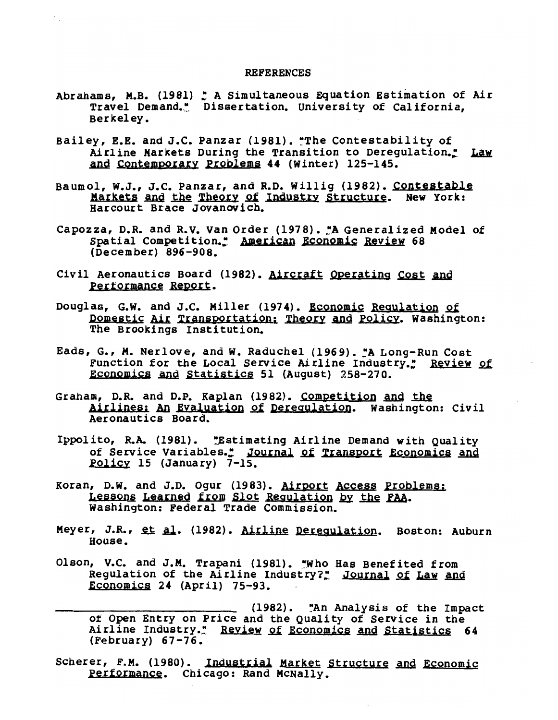#### REFERENCES

- Abrahams, M.B. (1981) " A Simultaneous Equation Estimation of Air Travel Demand." Dissertation. University of California, Berkeley.
- Bailey, E.E. and J.C. Panzar (1981). "The Contestability of Airline Markets During the Transition to Deregulation." Law and Contemporary Problems 44 (Winter) 125-145.
- Baumol, W.J., J.C. Panzar, and R.D. Willig (1982). Contestable Markets and the Theory of Industry Structure. New York: Harcourt Brace Jovanovich.
- Capozza, D.R. and R.V. Van Order (1978). "A Generalized Model of Spatial Competition." American Economic Review 68 (December) 896-908.
- Civil Aeronautics Board (1982). Aircraft Operating Cost and Performance Report.
- Oouglas, G.W. and J.C. Miller (1974). <u>Economic Regulation of</u><br>Domestic Air Transportation: Theory and Policy. Washington: Domestic Air Transportation: Theory and Policy. Washington:<br>The Brookings Institution.
- Eads, G., M. Nerlove, and W. Raduchel (1969). "A Long-Run Cost Function for the Local Service Airline Industry.<sup>"</sup> Review of *Economics and Statistics* 51 (August) 258-270.
- Graham, D.R. and D.P. Kaplan (1982). Competition and the Airlines: An Evaluation *Qt* Deregulation. Washington: Civil Aeronautics Board.
- Ippolito, R.A. (1981). "Estimating Airline Demand with Quality of Service Variables." Journal of Transport Economics and policy 15 (January) 7-15.
- Koran, D.W. and J.D. Ogur (1983). Airport Access Problems; Lessons Learned from Slot Regulation by the FAA. Washington: Federal Trade Commission.
- Meyer, J.R., et al. (1982). Airline Deregulation. Boston: Auburn House.
- Olson, V.C. and J.M. Trapani (1981). "Who Has Benefited from Regulation of the Airline Industry?" Journal of Law and Economics 24 (April) 75-93.

(1982). "An Analysis of the Impact<br>of Open Entry on Price and the Quality of Service in the Airline Industry." Review of Economics and Statistics 64 (February) 67-76.

Scherer, F.M. (1980). Industrial Market Structure and Economic performance. Chicago: Rand MCNally.